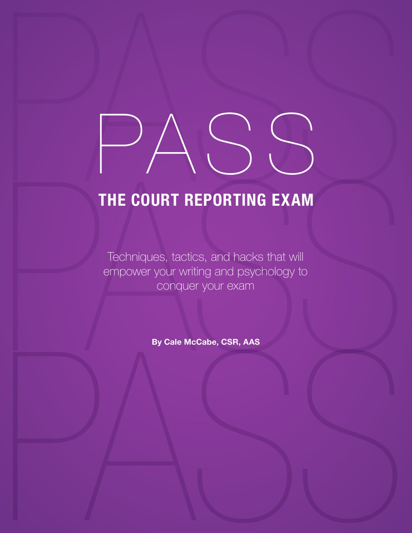# THE COURT REPORTING EXAM<br>
THE COURT REPORTING EXAM<br>
TOP TO A STORE CAST TO WARD TO THE PORTING THE VALUE PASS

## THE COURT REPORTING EXAM

Techniques, tactics, and hacks that will empower your writing and psychology to conquer your exam

By Cale McCabe, CSR, AAS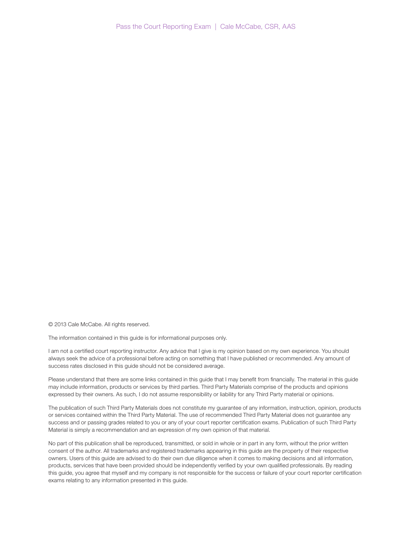© 2013 Cale McCabe. All rights reserved.

The information contained in this guide is for informational purposes only.

I am not a certified court reporting instructor. Any advice that I give is my opinion based on my own experience. You should always seek the advice of a professional before acting on something that I have published or recommended. Any amount of success rates disclosed in this guide should not be considered average.

Please understand that there are some links contained in this guide that I may benefit from financially. The material in this guide may include information, products or services by third parties. Third Party Materials comprise of the products and opinions expressed by their owners. As such, I do not assume responsibility or liability for any Third Party material or opinions.

The publication of such Third Party Materials does not constitute my guarantee of any information, instruction, opinion, products or services contained within the Third Party Material. The use of recommended Third Party Material does not guarantee any success and or passing grades related to you or any of your court reporter certification exams. Publication of such Third Party Material is simply a recommendation and an expression of my own opinion of that material.

No part of this publication shall be reproduced, transmitted, or sold in whole or in part in any form, without the prior written consent of the author. All trademarks and registered trademarks appearing in this guide are the property of their respective owners. Users of this guide are advised to do their own due diligence when it comes to making decisions and all information, products, services that have been provided should be independently verified by your own qualified professionals. By reading this guide, you agree that myself and my company is not responsible for the success or failure of your court reporter certification exams relating to any information presented in this guide.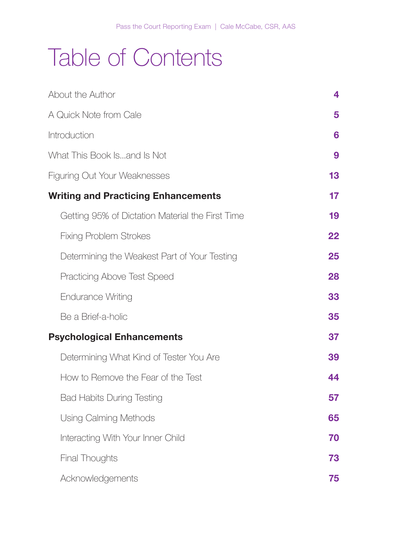# Table of Contents

| About the Author                                 | 4  |
|--------------------------------------------------|----|
| A Quick Note from Cale                           | 5  |
| Introduction                                     | 6  |
| What This Book Isand Is Not                      | 9  |
| <b>Figuring Out Your Weaknesses</b>              | 13 |
| <b>Writing and Practicing Enhancements</b>       | 17 |
| Getting 95% of Dictation Material the First Time | 19 |
| <b>Fixing Problem Strokes</b>                    | 22 |
| Determining the Weakest Part of Your Testing     | 25 |
| <b>Practicing Above Test Speed</b>               | 28 |
| <b>Endurance Writing</b>                         | 33 |
| Be a Brief-a-holic                               | 35 |
| <b>Psychological Enhancements</b>                | 37 |
| Determining What Kind of Tester You Are          | 39 |
| How to Remove the Fear of the Test               | 44 |
| <b>Bad Habits During Testing</b>                 | 57 |
| Using Calming Methods                            | 65 |
| Interacting With Your Inner Child                | 70 |
| <b>Final Thoughts</b>                            | 73 |
| Acknowledgements                                 | 75 |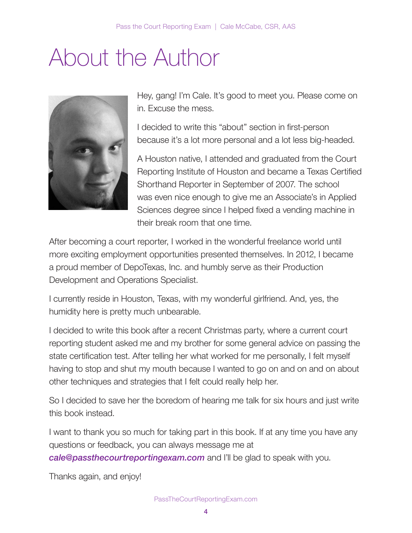# About the Author **About the Author**



Hey, gang! I'm Cale. It's good to meet you. Please come on Hey, gang! I'm Cale. It's good to meet you. Please come in. Excuse the mess. on in. Excuse the mess.

I decided to write this "about" section in first-person n decided to write this "about" section in first-person<br>because it's a lot more personal and a lot less big-headed. it's a lot more personal and a lot less big-headed.

A Houston native, I attended and graduated from the Court Reporting Institute of Houston and became a Texas Certified Shorthand Reporter in September of 2007. The school was even nice enough to give me an Associate's in Applied Sciences degree since I helped fixed a vending machine in their break room that one time.

After becoming a court reporter, I worked in the wonderful freelance world until more exciting employment opportunities presented themselves. In 2012, I became a proud member of DepoTexas, Inc. and humbly serve as their Production Development and Operations Specialist.

I currently reside in Houston, Texas, with my wonderful girlfriend. And, yes, the humidity here is pretty much unbearable. became a proud member of DepoTexas, Inc. and humbly serve as their Producting resident riouston, rexas, with my wonderful gimment. And<br>Primarility have in protty much uphoerable

I decided to write this book after a recent Christmas party, where a current court reporting student asked me and my brother for some general advice on passing the state certification test. After telling her what worked for me personally, I felt myself having to stop and shut my mouth because I wanted to go on and on and on about other techniques and strategies that I felt could really help her.

So I decided to save her the boredom of hearing me talk for six hours and just write this book instead. The stop and shut myself having to stop and shut my mouth because I wanted to go on and on an

I want to thank you so much for taking part in this book. If at any time you have any questions or feedback, you can always message me at  $\ell \otimes d$  of the boredom of hearing metallicity metallicity [cale@passthecourtreportingexam.com](mailto:cale@passthecourtreportingexam.com) and I'll be glad to speak with you. on about other techniques and strategies that I felt could really help her.

Thanks again, and enjoy!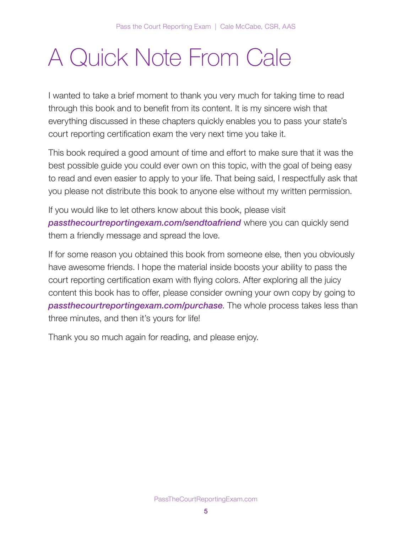# A Quick Note From Cale

I wanted to take a brief moment to thank you very much for taking time to read through this book and to benefit from its content. It is my sincere wish that everything discussed in these chapters quickly enables you to pass your state's court reporting certification exam the very next time you take it.

This book required a good amount of time and effort to make sure that it was the best possible guide you could ever own on this topic, with the goal of being easy to read and even easier to apply to your life. That being said, I respectfully ask that you please not distribute this book to anyone else without my written permission.

If you would like to let others know about this book, please visit **[passthecourtreportingexam.com/sendtoafriend](http://passthecourtreportingexam.com/sendtoafriend)** where you can quickly send them a friendly message and spread the love.

If for some reason you obtained this book from someone else, then you obviously have awesome friends. I hope the material inside boosts your ability to pass the court reporting certification exam with flying colors. After exploring all the juicy content this book has to offer, please consider owning your own copy by going to [passthecourtreportingexam.com/purchase](http://passthecourtreportingexam.com/purchase). The whole process takes less than three minutes, and then it's yours for life!

Thank you so much again for reading, and please enjoy.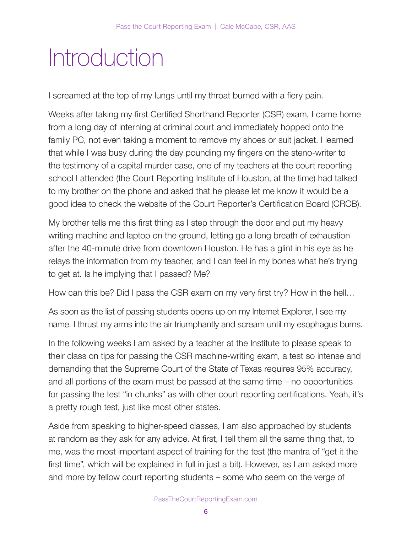# Introduction

I screamed at the top of my lungs until my throat burned with a fiery pain.

Weeks after taking my first Certified Shorthand Reporter (CSR) exam, I came home from a long day of interning at criminal court and immediately hopped onto the family PC, not even taking a moment to remove my shoes or suit jacket. I learned that while I was busy during the day pounding my fingers on the steno-writer to the testimony of a capital murder case, one of my teachers at the court reporting school I attended (the Court Reporting Institute of Houston, at the time) had talked to my brother on the phone and asked that he please let me know it would be a good idea to check the website of the Court Reporter's Certification Board (CRCB).

My brother tells me this first thing as I step through the door and put my heavy writing machine and laptop on the ground, letting go a long breath of exhaustion after the 40-minute drive from downtown Houston. He has a glint in his eye as he relays the information from my teacher, and I can feel in my bones what he's trying to get at. Is he implying that I passed? Me?

How can this be? Did I pass the CSR exam on my very first try? How in the hell…

As soon as the list of passing students opens up on my Internet Explorer, I see my name. I thrust my arms into the air triumphantly and scream until my esophagus burns.

In the following weeks I am asked by a teacher at the Institute to please speak to their class on tips for passing the CSR machine-writing exam, a test so intense and demanding that the Supreme Court of the State of Texas requires 95% accuracy, and all portions of the exam must be passed at the same time – no opportunities for passing the test "in chunks" as with other court reporting certifications. Yeah, it's a pretty rough test, just like most other states.

Aside from speaking to higher-speed classes, I am also approached by students at random as they ask for any advice. At first, I tell them all the same thing that, to me, was the most important aspect of training for the test (the mantra of "get it the first time", which will be explained in full in just a bit). However, as I am asked more and more by fellow court reporting students – some who seem on the verge of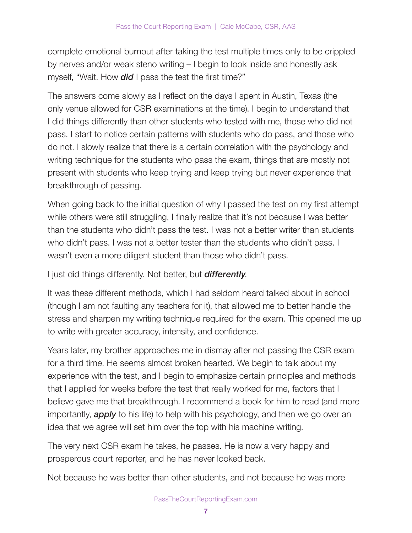complete emotional burnout after taking the test multiple times only to be crippled by nerves and/or weak steno writing – I begin to look inside and honestly ask myself, "Wait. How **did** I pass the test the first time?"

The answers come slowly as I reflect on the days I spent in Austin, Texas (the only venue allowed for CSR examinations at the time). I begin to understand that I did things differently than other students who tested with me, those who did not pass. I start to notice certain patterns with students who do pass, and those who do not. I slowly realize that there is a certain correlation with the psychology and writing technique for the students who pass the exam, things that are mostly not present with students who keep trying and keep trying but never experience that breakthrough of passing.

When going back to the initial question of why I passed the test on my first attempt while others were still struggling, I finally realize that it's not because I was better than the students who didn't pass the test. I was not a better writer than students who didn't pass. I was not a better tester than the students who didn't pass. I wasn't even a more diligent student than those who didn't pass.

I just did things differently. Not better, but **differently**.

It was these different methods, which I had seldom heard talked about in school (though I am not faulting any teachers for it), that allowed me to better handle the stress and sharpen my writing technique required for the exam. This opened me up to write with greater accuracy, intensity, and confidence.

Years later, my brother approaches me in dismay after not passing the CSR exam for a third time. He seems almost broken hearted. We begin to talk about my experience with the test, and I begin to emphasize certain principles and methods that I applied for weeks before the test that really worked for me, factors that I believe gave me that breakthrough. I recommend a book for him to read (and more importantly, **apply** to his life) to help with his psychology, and then we go over an idea that we agree will set him over the top with his machine writing.

The very next CSR exam he takes, he passes. He is now a very happy and prosperous court reporter, and he has never looked back.

Not because he was better than other students, and not because he was more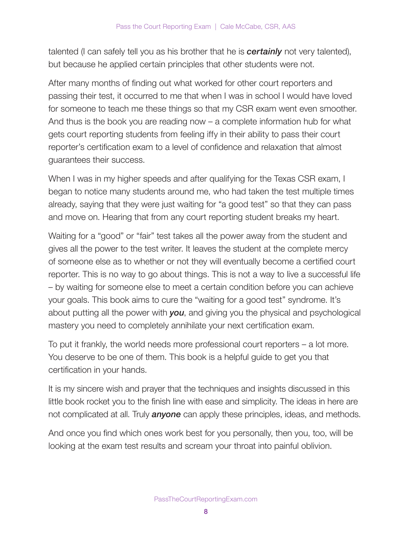talented (I can safely tell you as his brother that he is **certainly** not very talented), but because he applied certain principles that other students were not.

After many months of finding out what worked for other court reporters and passing their test, it occurred to me that when I was in school I would have loved for someone to teach me these things so that my CSR exam went even smoother. And thus is the book you are reading now – a complete information hub for what gets court reporting students from feeling iffy in their ability to pass their court reporter's certification exam to a level of confidence and relaxation that almost guarantees their success.

When I was in my higher speeds and after qualifying for the Texas CSR exam, I began to notice many students around me, who had taken the test multiple times already, saying that they were just waiting for "a good test" so that they can pass and move on. Hearing that from any court reporting student breaks my heart.

Waiting for a "good" or "fair" test takes all the power away from the student and gives all the power to the test writer. It leaves the student at the complete mercy of someone else as to whether or not they will eventually become a certified court reporter. This is no way to go about things. This is not a way to live a successful life – by waiting for someone else to meet a certain condition before you can achieve your goals. This book aims to cure the "waiting for a good test" syndrome. It's about putting all the power with you, and giving you the physical and psychological mastery you need to completely annihilate your next certification exam.

To put it frankly, the world needs more professional court reporters – a lot more. You deserve to be one of them. This book is a helpful guide to get you that certification in your hands.

It is my sincere wish and prayer that the techniques and insights discussed in this little book rocket you to the finish line with ease and simplicity. The ideas in here are not complicated at all. Truly *anyone* can apply these principles, ideas, and methods.

And once you find which ones work best for you personally, then you, too, will be looking at the exam test results and scream your throat into painful oblivion.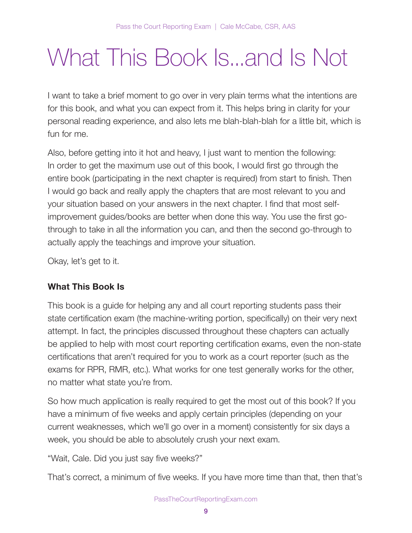# What This Book Is...and Is Not

I want to take a brief moment to go over in very plain terms what the intentions are for this book, and what you can expect from it. This helps bring in clarity for your personal reading experience, and also lets me blah-blah-blah for a little bit, which is fun for me.

Also, before getting into it hot and heavy, I just want to mention the following: In order to get the maximum use out of this book, I would first go through the entire book (participating in the next chapter is required) from start to finish. Then I would go back and really apply the chapters that are most relevant to you and your situation based on your answers in the next chapter. I find that most selfimprovement guides/books are better when done this way. You use the first gothrough to take in all the information you can, and then the second go-through to actually apply the teachings and improve your situation.

Okay, let's get to it.

### What This Book Is

This book is a guide for helping any and all court reporting students pass their state certification exam (the machine-writing portion, specifically) on their very next attempt. In fact, the principles discussed throughout these chapters can actually be applied to help with most court reporting certification exams, even the non-state certifications that aren't required for you to work as a court reporter (such as the exams for RPR, RMR, etc.). What works for one test generally works for the other, no matter what state you're from.

So how much application is really required to get the most out of this book? If you have a minimum of five weeks and apply certain principles (depending on your current weaknesses, which we'll go over in a moment) consistently for six days a week, you should be able to absolutely crush your next exam.

"Wait, Cale. Did you just say five weeks?"

That's correct, a minimum of five weeks. If you have more time than that, then that's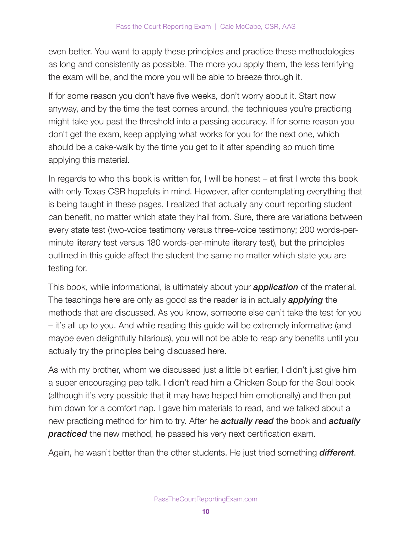even better. You want to apply these principles and practice these methodologies as long and consistently as possible. The more you apply them, the less terrifying the exam will be, and the more you will be able to breeze through it.

If for some reason you don't have five weeks, don't worry about it. Start now anyway, and by the time the test comes around, the techniques you're practicing might take you past the threshold into a passing accuracy. If for some reason you don't get the exam, keep applying what works for you for the next one, which should be a cake-walk by the time you get to it after spending so much time applying this material.

In regards to who this book is written for, I will be honest – at first I wrote this book with only Texas CSR hopefuls in mind. However, after contemplating everything that is being taught in these pages, I realized that actually any court reporting student can benefit, no matter which state they hail from. Sure, there are variations between every state test (two-voice testimony versus three-voice testimony; 200 words-perminute literary test versus 180 words-per-minute literary test), but the principles outlined in this guide affect the student the same no matter which state you are testing for.

This book, while informational, is ultimately about your **application** of the material. The teachings here are only as good as the reader is in actually **applying** the methods that are discussed. As you know, someone else can't take the test for you – it's all up to you. And while reading this guide will be extremely informative (and maybe even delightfully hilarious), you will not be able to reap any benefits until you actually try the principles being discussed here.

As with my brother, whom we discussed just a little bit earlier, I didn't just give him a super encouraging pep talk. I didn't read him a Chicken Soup for the Soul book (although it's very possible that it may have helped him emotionally) and then put him down for a comfort nap. I gave him materials to read, and we talked about a new practicing method for him to try. After he **actually read** the book and **actually practiced** the new method, he passed his very next certification exam.

Again, he wasn't better than the other students. He just tried something **different**.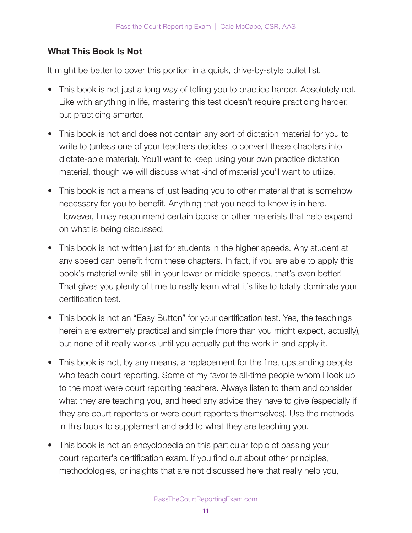### What This Book Is Not

It might be better to cover this portion in a quick, drive-by-style bullet list.

- This book is not just a long way of telling you to practice harder. Absolutely not. Like with anything in life, mastering this test doesn't require practicing harder, but practicing smarter.
- This book is not and does not contain any sort of dictation material for you to write to (unless one of your teachers decides to convert these chapters into dictate-able material). You'll want to keep using your own practice dictation material, though we will discuss what kind of material you'll want to utilize.
- This book is not a means of just leading you to other material that is somehow necessary for you to benefit. Anything that you need to know is in here. However, I may recommend certain books or other materials that help expand on what is being discussed.
- This book is not written just for students in the higher speeds. Any student at any speed can benefit from these chapters. In fact, if you are able to apply this book's material while still in your lower or middle speeds, that's even better! That gives you plenty of time to really learn what it's like to totally dominate your certification test.
- This book is not an "Easy Button" for your certification test. Yes, the teachings herein are extremely practical and simple (more than you might expect, actually), but none of it really works until you actually put the work in and apply it.
- This book is not, by any means, a replacement for the fine, upstanding people who teach court reporting. Some of my favorite all-time people whom I look up to the most were court reporting teachers. Always listen to them and consider what they are teaching you, and heed any advice they have to give (especially if they are court reporters or were court reporters themselves). Use the methods in this book to supplement and add to what they are teaching you.
- This book is not an encyclopedia on this particular topic of passing your court reporter's certification exam. If you find out about other principles, methodologies, or insights that are not discussed here that really help you,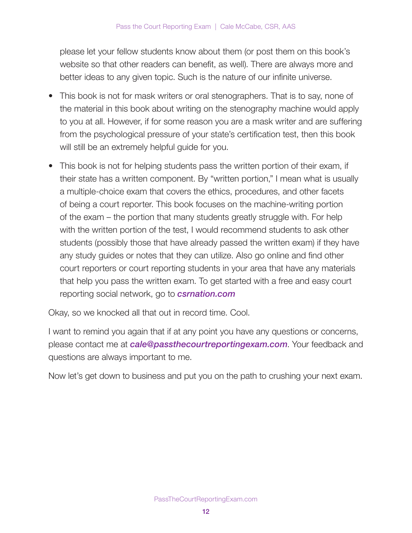please let your fellow students know about them (or post them on this book's website so that other readers can benefit, as well). There are always more and better ideas to any given topic. Such is the nature of our infinite universe.

- This book is not for mask writers or oral stenographers. That is to say, none of the material in this book about writing on the stenography machine would apply to you at all. However, if for some reason you are a mask writer and are suffering from the psychological pressure of your state's certification test, then this book will still be an extremely helpful guide for you.
- This book is not for helping students pass the written portion of their exam, if their state has a written component. By "written portion," I mean what is usually a multiple-choice exam that covers the ethics, procedures, and other facets of being a court reporter. This book focuses on the machine-writing portion of the exam – the portion that many students greatly struggle with. For help with the written portion of the test, I would recommend students to ask other students (possibly those that have already passed the written exam) if they have any study guides or notes that they can utilize. Also go online and find other court reporters or court reporting students in your area that have any materials that help you pass the written exam. To get started with a free and easy court reporting social network, go to *[csrnation.com](http://csrnation.com)*

Okay, so we knocked all that out in record time. Cool.

I want to remind you again that if at any point you have any questions or concerns, please contact me at [cale@passthecourtreportingexam.com](mailto:cale@passthecourtreportingexam.com). Your feedback and questions are always important to me.

Now let's get down to business and put you on the path to crushing your next exam.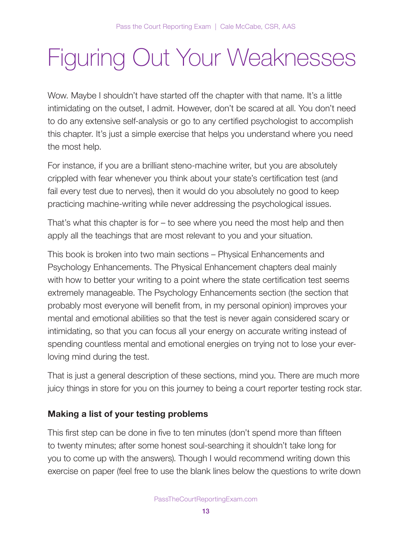# Figuring Out Your Weaknesses

Wow. Maybe I shouldn't have started off the chapter with that name. It's a little intimidating on the outset, I admit. However, don't be scared at all. You don't need to do any extensive self-analysis or go to any certified psychologist to accomplish this chapter. It's just a simple exercise that helps you understand where you need the most help.

For instance, if you are a brilliant steno-machine writer, but you are absolutely crippled with fear whenever you think about your state's certification test (and fail every test due to nerves), then it would do you absolutely no good to keep practicing machine-writing while never addressing the psychological issues.

That's what this chapter is for – to see where you need the most help and then apply all the teachings that are most relevant to you and your situation.

This book is broken into two main sections – Physical Enhancements and Psychology Enhancements. The Physical Enhancement chapters deal mainly with how to better your writing to a point where the state certification test seems extremely manageable. The Psychology Enhancements section (the section that probably most everyone will benefit from, in my personal opinion) improves your mental and emotional abilities so that the test is never again considered scary or intimidating, so that you can focus all your energy on accurate writing instead of spending countless mental and emotional energies on trying not to lose your everloving mind during the test.

That is just a general description of these sections, mind you. There are much more juicy things in store for you on this journey to being a court reporter testing rock star.

### Making a list of your testing problems

This first step can be done in five to ten minutes (don't spend more than fifteen to twenty minutes; after some honest soul-searching it shouldn't take long for you to come up with the answers). Though I would recommend writing down this exercise on paper (feel free to use the blank lines below the questions to write down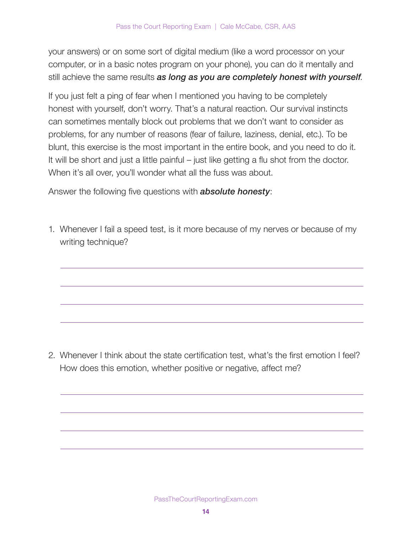your answers) or on some sort of digital medium (like a word processor on your computer, or in a basic notes program on your phone), you can do it mentally and still achieve the same results as long as you are completely honest with yourself.

If you just felt a ping of fear when I mentioned you having to be completely honest with yourself, don't worry. That's a natural reaction. Our survival instincts can sometimes mentally block out problems that we don't want to consider as problems, for any number of reasons (fear of failure, laziness, denial, etc.). To be blunt, this exercise is the most important in the entire book, and you need to do it. It will be short and just a little painful – just like getting a flu shot from the doctor. When it's all over, you'll wonder what all the fuss was about.

Answer the following five questions with **absolute honesty**:

1. Whenever I fail a speed test, is it more because of my nerves or because of my writing technique?

2. Whenever I think about the state certification test, what's the first emotion I feel? How does this emotion, whether positive or negative, affect me?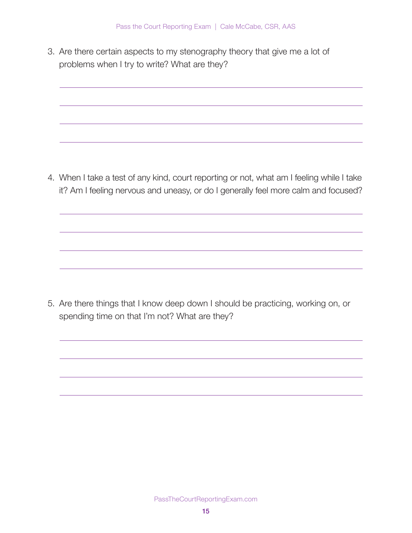3. Are there certain aspects to my stenography theory that give me a lot of problems when I try to write? What are they?

4. When I take a test of any kind, court reporting or not, what am I feeling while I take it? Am I feeling nervous and uneasy, or do I generally feel more calm and focused?

5. Are there things that I know deep down I should be practicing, working on, or spending time on that I'm not? What are they?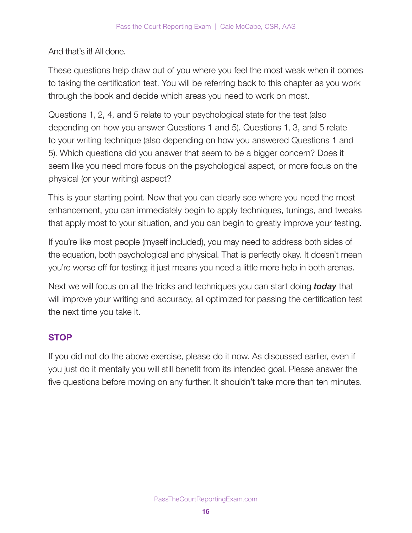### And that's it! All done.

These questions help draw out of you where you feel the most weak when it comes to taking the certification test. You will be referring back to this chapter as you work through the book and decide which areas you need to work on most.

Questions 1, 2, 4, and 5 relate to your psychological state for the test (also depending on how you answer Questions 1 and 5). Questions 1, 3, and 5 relate to your writing technique (also depending on how you answered Questions 1 and 5). Which questions did you answer that seem to be a bigger concern? Does it seem like you need more focus on the psychological aspect, or more focus on the physical (or your writing) aspect?

This is your starting point. Now that you can clearly see where you need the most enhancement, you can immediately begin to apply techniques, tunings, and tweaks that apply most to your situation, and you can begin to greatly improve your testing.

If you're like most people (myself included), you may need to address both sides of the equation, both psychological and physical. That is perfectly okay. It doesn't mean you're worse off for testing; it just means you need a little more help in both arenas.

Next we will focus on all the tricks and techniques you can start doing **today** that will improve your writing and accuracy, all optimized for passing the certification test the next time you take it.

### **STOP**

If you did not do the above exercise, please do it now. As discussed earlier, even if you just do it mentally you will still benefit from its intended goal. Please answer the five questions before moving on any further. It shouldn't take more than ten minutes.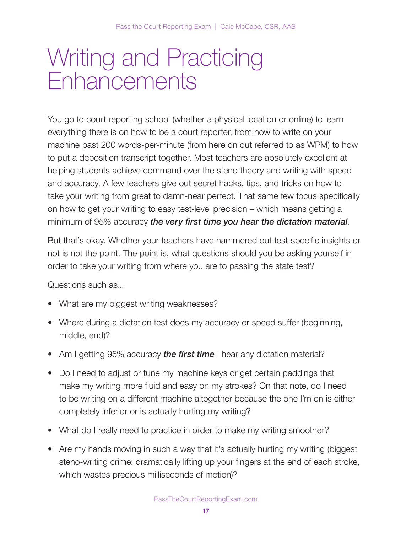# Writing and Practicing **Fnhancements**

You go to court reporting school (whether a physical location or online) to learn everything there is on how to be a court reporter, from how to write on your machine past 200 words-per-minute (from here on out referred to as WPM) to how to put a deposition transcript together. Most teachers are absolutely excellent at helping students achieve command over the steno theory and writing with speed and accuracy. A few teachers give out secret hacks, tips, and tricks on how to take your writing from great to damn-near perfect. That same few focus specifically on how to get your writing to easy test-level precision – which means getting a minimum of 95% accuracy the very first time you hear the dictation material.

But that's okay. Whether your teachers have hammered out test-specific insights or not is not the point. The point is, what questions should you be asking yourself in order to take your writing from where you are to passing the state test?

Questions such as...

- What are my biggest writing weaknesses?
- Where during a dictation test does my accuracy or speed suffer (beginning, middle, end)?
- Am I getting 95% accuracy the first time I hear any dictation material?
- Do I need to adjust or tune my machine keys or get certain paddings that make my writing more fluid and easy on my strokes? On that note, do I need to be writing on a different machine altogether because the one I'm on is either completely inferior or is actually hurting my writing?
- What do I really need to practice in order to make my writing smoother?
- Are my hands moving in such a way that it's actually hurting my writing (biggest steno-writing crime: dramatically lifting up your fingers at the end of each stroke, which wastes precious milliseconds of motion)?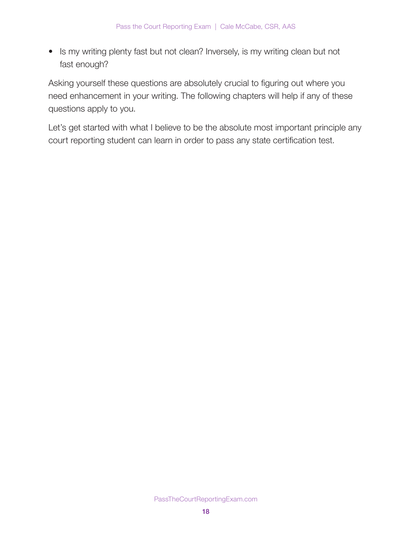• Is my writing plenty fast but not clean? Inversely, is my writing clean but not fast enough?

Asking yourself these questions are absolutely crucial to figuring out where you need enhancement in your writing. The following chapters will help if any of these questions apply to you.

Let's get started with what I believe to be the absolute most important principle any court reporting student can learn in order to pass any state certification test.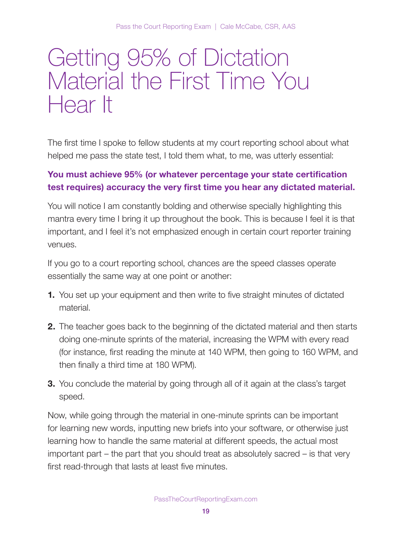# Getting 95% of Dictation Material the First Time You Hear It

The first time I spoke to fellow students at my court reporting school about what helped me pass the state test, I told them what, to me, was utterly essential:

### You must achieve 95% (or whatever percentage your state certification test requires) accuracy the very first time you hear any dictated material.

You will notice I am constantly bolding and otherwise specially highlighting this mantra every time I bring it up throughout the book. This is because I feel it is that important, and I feel it's not emphasized enough in certain court reporter training venues.

If you go to a court reporting school, chances are the speed classes operate essentially the same way at one point or another:

- 1. You set up your equipment and then write to five straight minutes of dictated material.
- **2.** The teacher goes back to the beginning of the dictated material and then starts doing one-minute sprints of the material, increasing the WPM with every read (for instance, first reading the minute at 140 WPM, then going to 160 WPM, and then finally a third time at 180 WPM).
- **3.** You conclude the material by going through all of it again at the class's target speed.

Now, while going through the material in one-minute sprints can be important for learning new words, inputting new briefs into your software, or otherwise just learning how to handle the same material at different speeds, the actual most important part – the part that you should treat as absolutely sacred – is that very first read-through that lasts at least five minutes.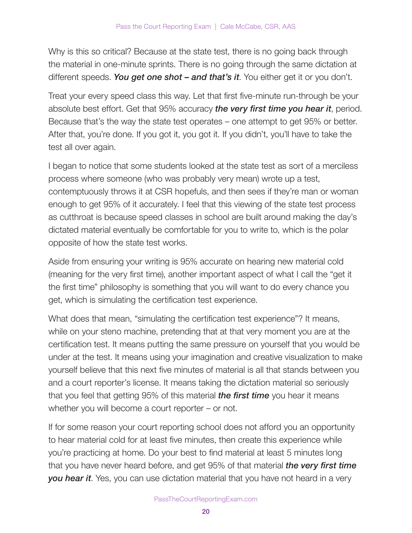Why is this so critical? Because at the state test, there is no going back through the material in one-minute sprints. There is no going through the same dictation at different speeds. You get one shot  $-$  and that's it. You either get it or you don't.

Treat your every speed class this way. Let that first five-minute run-through be your absolute best effort. Get that 95% accuracy the very first time you hear it, period. Because that's the way the state test operates – one attempt to get 95% or better. After that, you're done. If you got it, you got it. If you didn't, you'll have to take the test all over again.

I began to notice that some students looked at the state test as sort of a merciless process where someone (who was probably very mean) wrote up a test, contemptuously throws it at CSR hopefuls, and then sees if they're man or woman enough to get 95% of it accurately. I feel that this viewing of the state test process as cutthroat is because speed classes in school are built around making the day's dictated material eventually be comfortable for you to write to, which is the polar opposite of how the state test works.

Aside from ensuring your writing is 95% accurate on hearing new material cold (meaning for the very first time), another important aspect of what I call the "get it the first time" philosophy is something that you will want to do every chance you get, which is simulating the certification test experience.

What does that mean, "simulating the certification test experience"? It means, while on your steno machine, pretending that at that very moment you are at the certification test. It means putting the same pressure on yourself that you would be under at the test. It means using your imagination and creative visualization to make yourself believe that this next five minutes of material is all that stands between you and a court reporter's license. It means taking the dictation material so seriously that you feel that getting 95% of this material the first time you hear it means whether you will become a court reporter – or not.

If for some reason your court reporting school does not afford you an opportunity to hear material cold for at least five minutes, then create this experience while you're practicing at home. Do your best to find material at least 5 minutes long that you have never heard before, and get 95% of that material *the very first time* **you hear it**. Yes, you can use dictation material that you have not heard in a very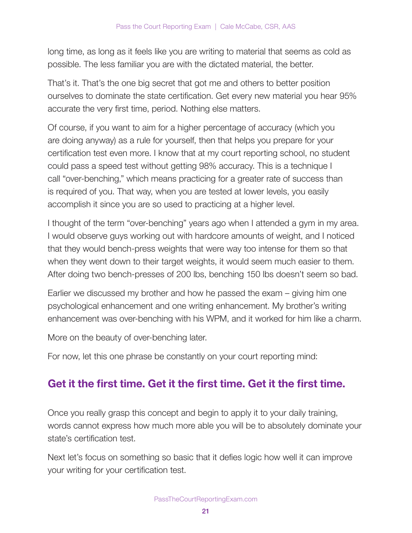long time, as long as it feels like you are writing to material that seems as cold as possible. The less familiar you are with the dictated material, the better.

That's it. That's the one big secret that got me and others to better position ourselves to dominate the state certification. Get every new material you hear 95% accurate the very first time, period. Nothing else matters.

Of course, if you want to aim for a higher percentage of accuracy (which you are doing anyway) as a rule for yourself, then that helps you prepare for your certification test even more. I know that at my court reporting school, no student could pass a speed test without getting 98% accuracy. This is a technique I call "over-benching," which means practicing for a greater rate of success than is required of you. That way, when you are tested at lower levels, you easily accomplish it since you are so used to practicing at a higher level.

I thought of the term "over-benching" years ago when I attended a gym in my area. I would observe guys working out with hardcore amounts of weight, and I noticed that they would bench-press weights that were way too intense for them so that when they went down to their target weights, it would seem much easier to them. After doing two bench-presses of 200 lbs, benching 150 lbs doesn't seem so bad.

Earlier we discussed my brother and how he passed the exam – giving him one psychological enhancement and one writing enhancement. My brother's writing enhancement was over-benching with his WPM, and it worked for him like a charm.

More on the beauty of over-benching later.

For now, let this one phrase be constantly on your court reporting mind:

### Get it the first time. Get it the first time. Get it the first time.

Once you really grasp this concept and begin to apply it to your daily training, words cannot express how much more able you will be to absolutely dominate your state's certification test.

Next let's focus on something so basic that it defies logic how well it can improve your writing for your certification test.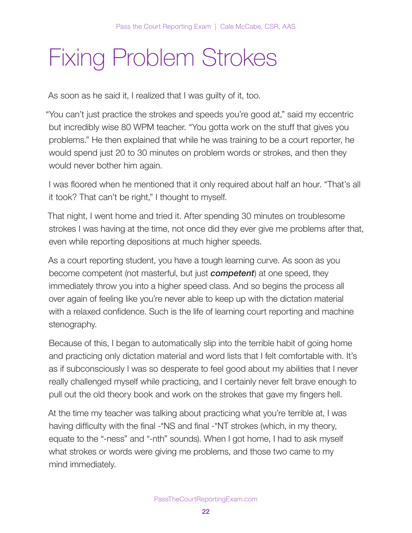# Fixing Problem Strokes

As soon as he said it, I realized that I was guilty of it, too.

"You can't just practice the strokes and speeds you're good at," said my eccentric but incredibly wise 80 WPM teacher. "You gotta work on the stuff that gives you problems." He then explained that while he was training to be a court reporter, he would spend just 20 to 30 minutes on problem words or strokes, and then they would never bother him again.

I was floored when he mentioned that it only required about half an hour. "That's all it took? That can't be right," I thought to myself.

That night, I went home and tried it. After spending 30 minutes on troublesome strokes I was having at the time, not once did they ever give me problems after that, even while reporting depositions at much higher speeds.

As a court reporting student, you have a tough learning curve. As soon as you become competent (not masterful, but just **competent**) at one speed, they immediately throw you into a higher speed class. And so begins the process all over again of feeling like you're never able to keep up with the dictation material with a relaxed confidence. Such is the life of learning court reporting and machine stenography.

Because of this, I began to automatically slip into the terrible habit of going home and practicing only dictation material and word lists that I felt comfortable with. It's as if subconsciously I was so desperate to feel good about my abilities that I never really challenged myself while practicing, and I certainly never felt brave enough to pull out the old theory book and work on the strokes that gave my fingers hell.

At the time my teacher was talking about practicing what you're terrible at, I was having difficulty with the final -\*NS and final -\*NT strokes (which, in my theory, equate to the "-ness" and "-nth" sounds). When I got home, I had to ask myself what strokes or words were giving me problems, and those two came to my mind immediately.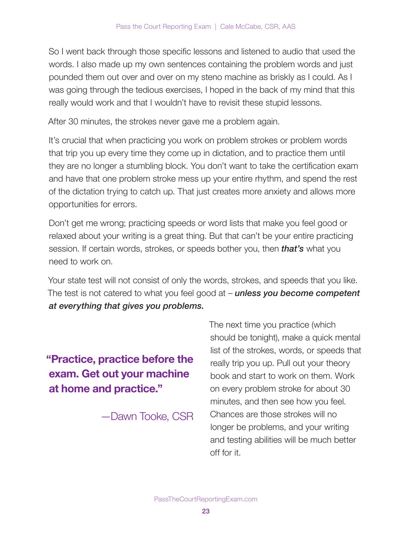So I went back through those specific lessons and listened to audio that used the words. I also made up my own sentences containing the problem words and just pounded them out over and over on my steno machine as briskly as I could. As I was going through the tedious exercises, I hoped in the back of my mind that this really would work and that I wouldn't have to revisit these stupid lessons.

After 30 minutes, the strokes never gave me a problem again.

It's crucial that when practicing you work on problem strokes or problem words that trip you up every time they come up in dictation, and to practice them until they are no longer a stumbling block. You don't want to take the certification exam and have that one problem stroke mess up your entire rhythm, and spend the rest of the dictation trying to catch up. That just creates more anxiety and allows more opportunities for errors.

Don't get me wrong; practicing speeds or word lists that make you feel good or relaxed about your writing is a great thing. But that can't be your entire practicing session. If certain words, strokes, or speeds bother you, then **that's** what you need to work on.

Your state test will not consist of only the words, strokes, and speeds that you like. The test is not catered to what you feel good at  $-$  unless you become competent at everything that gives you problems.

"Practice, practice before the exam. Get out your machine at home and practice."

—Dawn Tooke, CSR

The next time you practice (which should be tonight), make a quick mental list of the strokes, words, or speeds that really trip you up. Pull out your theory book and start to work on them. Work on every problem stroke for about 30 minutes, and then see how you feel. Chances are those strokes will no longer be problems, and your writing and testing abilities will be much better off for it.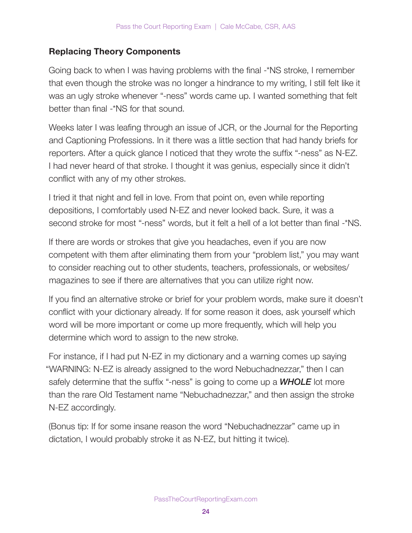### Replacing Theory Components

Going back to when I was having problems with the final -\*NS stroke, I remember that even though the stroke was no longer a hindrance to my writing, I still felt like it was an ugly stroke whenever "-ness" words came up. I wanted something that felt better than final -\*NS for that sound.

Weeks later I was leafing through an issue of JCR, or the Journal for the Reporting and Captioning Professions. In it there was a little section that had handy briefs for reporters. After a quick glance I noticed that they wrote the suffix "-ness" as N-EZ. I had never heard of that stroke. I thought it was genius, especially since it didn't conflict with any of my other strokes.

I tried it that night and fell in love. From that point on, even while reporting depositions, I comfortably used N-EZ and never looked back. Sure, it was a second stroke for most "-ness" words, but it felt a hell of a lot better than final -\*NS.

If there are words or strokes that give you headaches, even if you are now competent with them after eliminating them from your "problem list," you may want to consider reaching out to other students, teachers, professionals, or websites/ magazines to see if there are alternatives that you can utilize right now.

If you find an alternative stroke or brief for your problem words, make sure it doesn't conflict with your dictionary already. If for some reason it does, ask yourself which word will be more important or come up more frequently, which will help you determine which word to assign to the new stroke.

For instance, if I had put N-EZ in my dictionary and a warning comes up saying "WARNING: N-EZ is already assigned to the word Nebuchadnezzar," then I can safely determine that the suffix "-ness" is going to come up a **WHOLE** lot more than the rare Old Testament name "Nebuchadnezzar," and then assign the stroke N-EZ accordingly.

(Bonus tip: If for some insane reason the word "Nebuchadnezzar" came up in dictation, I would probably stroke it as N-EZ, but hitting it twice).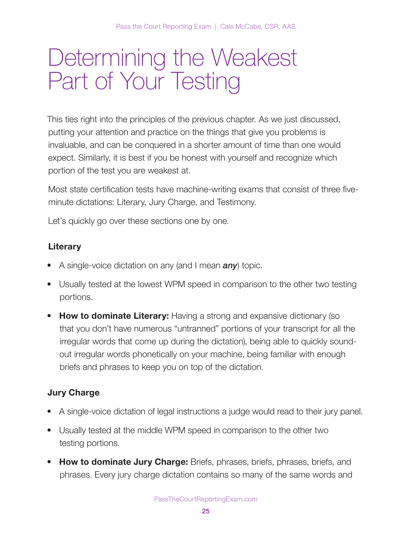# Determining the Weakest Part of Your Testing

This ties right into the principles of the previous chapter. As we just discussed, putting your attention and practice on the things that give you problems is invaluable, and can be conquered in a shorter amount of time than one would expect. Similarly, it is best if you be honest with yourself and recognize which portion of the test you are weakest at.

Most state certification tests have machine-writing exams that consist of three fiveminute dictations: Literary, Jury Charge, and Testimony.

Let's quickly go over these sections one by one.

### **Literary**

- A single-voice dictation on any (and I mean  $any$ ) topic.
- Usually tested at the lowest WPM speed in comparison to the other two testing portions.
- How to dominate Literary: Having a strong and expansive dictionary (so that you don't have numerous "untranned" portions of your transcript for all the irregular words that come up during the dictation), being able to quickly soundout irregular words phonetically on your machine, being familiar with enough briefs and phrases to keep you on top of the dictation.

### Jury Charge

- A single-voice dictation of legal instructions a judge would read to their jury panel.
- Usually tested at the middle WPM speed in comparison to the other two testing portions.
- How to dominate Jury Charge: Briefs, phrases, briefs, phrases, briefs, and phrases. Every jury charge dictation contains so many of the same words and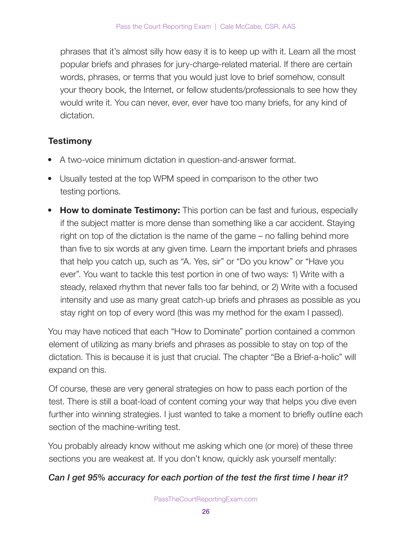phrases that it's almost silly how easy it is to keep up with it. Learn all the most popular briefs and phrases for jury-charge-related material. If there are certain words, phrases, or terms that you would just love to brief somehow, consult your theory book, the Internet, or fellow students/professionals to see how they would write it. You can never, ever, ever have too many briefs, for any kind of dictation.

### **Testimony**

- A two-voice minimum dictation in question-and-answer format.
- Usually tested at the top WPM speed in comparison to the other two testing portions.
- How to dominate Testimony: This portion can be fast and furious, especially if the subject matter is more dense than something like a car accident. Staying right on top of the dictation is the name of the game – no falling behind more than five to six words at any given time. Learn the important briefs and phrases that help you catch up, such as "A. Yes, sir" or "Do you know" or "Have you ever". You want to tackle this test portion in one of two ways: 1) Write with a steady, relaxed rhythm that never falls too far behind, or 2) Write with a focused intensity and use as many great catch-up briefs and phrases as possible as you stay right on top of every word (this was my method for the exam I passed).

You may have noticed that each "How to Dominate" portion contained a common element of utilizing as many briefs and phrases as possible to stay on top of the dictation. This is because it is just that crucial. The chapter "Be a Brief-a-holic" will expand on this.

Of course, these are very general strategies on how to pass each portion of the test. There is still a boat-load of content coming your way that helps you dive even further into winning strategies. I just wanted to take a moment to briefly outline each section of the machine-writing test.

You probably already know without me asking which one (or more) of these three sections you are weakest at. If you don't know, quickly ask yourself mentally:

### Can I get 95% accuracy for each portion of the test the first time I hear it?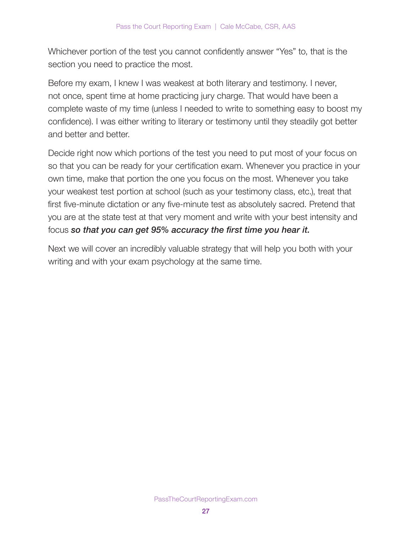Whichever portion of the test you cannot confidently answer "Yes" to, that is the section you need to practice the most.

Before my exam, I knew I was weakest at both literary and testimony. I never, not once, spent time at home practicing jury charge. That would have been a complete waste of my time (unless I needed to write to something easy to boost my confidence). I was either writing to literary or testimony until they steadily got better and better and better.

Decide right now which portions of the test you need to put most of your focus on so that you can be ready for your certification exam. Whenever you practice in your own time, make that portion the one you focus on the most. Whenever you take your weakest test portion at school (such as your testimony class, etc.), treat that first five-minute dictation or any five-minute test as absolutely sacred. Pretend that you are at the state test at that very moment and write with your best intensity and focus so that you can get 95% accuracy the first time you hear it.

Next we will cover an incredibly valuable strategy that will help you both with your writing and with your exam psychology at the same time.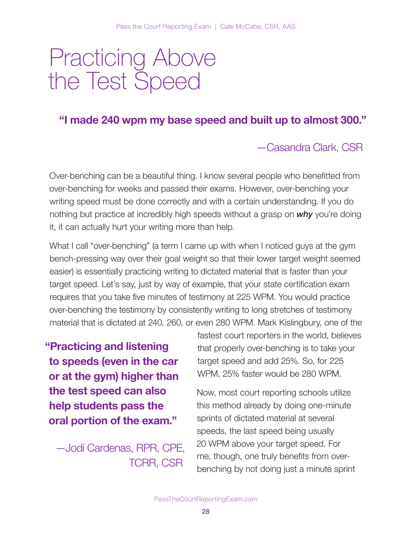# Practicing Above the Test Speed

### "I made 240 wpm my base speed and built up to almost 300."

### —Casandra Clark, CSR

Over-benching can be a beautiful thing. I know several people who benefitted from over-benching for weeks and passed their exams. However, over-benching your writing speed must be done correctly and with a certain understanding. If you do nothing but practice at incredibly high speeds without a grasp on why you're doing it, it can actually hurt your writing more than help.

What I call "over-benching" (a term I came up with when I noticed guys at the gym bench-pressing way over their goal weight so that their lower target weight seemed easier) is essentially practicing writing to dictated material that is faster than your target speed. Let's say, just by way of example, that your state certification exam requires that you take five minutes of testimony at 225 WPM. You would practice over-benching the testimony by consistently writing to long stretches of testimony material that is dictated at 240, 260, or even 280 WPM. Mark Kislingbury, one of the

"Practicing and listening to speeds (even in the car or at the gym) higher than the test speed can also help students pass the oral portion of the exam."

—Jodi Cardenas, RPR, CPE, TCRR, CSR

fastest court reporters in the world, believes that properly over-benching is to take your target speed and add 25%. So, for 225 WPM, 25% faster would be 280 WPM.

Now, most court reporting schools utilize this method already by doing one-minute sprints of dictated material at several speeds, the last speed being usually 20 WPM above your target speed. For me, though, one truly benefits from overbenching by not doing just a minute sprint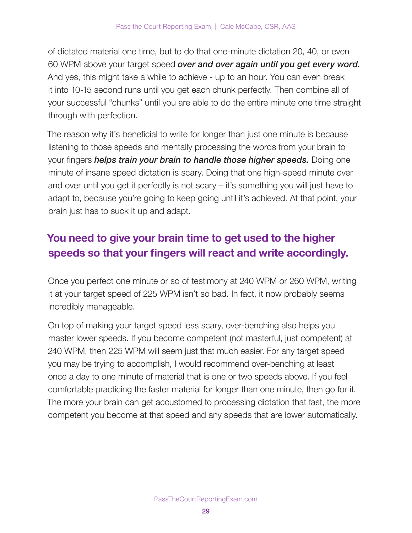of dictated material one time, but to do that one-minute dictation 20, 40, or even 60 WPM above your target speed over and over again until you get every word. And yes, this might take a while to achieve - up to an hour. You can even break it into 10-15 second runs until you get each chunk perfectly. Then combine all of your successful "chunks" until you are able to do the entire minute one time straight through with perfection.

The reason why it's beneficial to write for longer than just one minute is because listening to those speeds and mentally processing the words from your brain to your fingers *helps train your brain to handle those higher speeds*. Doing one minute of insane speed dictation is scary. Doing that one high-speed minute over and over until you get it perfectly is not scary – it's something you will just have to adapt to, because you're going to keep going until it's achieved. At that point, your brain just has to suck it up and adapt.

### You need to give your brain time to get used to the higher speeds so that your fingers will react and write accordingly.

Once you perfect one minute or so of testimony at 240 WPM or 260 WPM, writing it at your target speed of 225 WPM isn't so bad. In fact, it now probably seems incredibly manageable.

On top of making your target speed less scary, over-benching also helps you master lower speeds. If you become competent (not masterful, just competent) at 240 WPM, then 225 WPM will seem just that much easier. For any target speed you may be trying to accomplish, I would recommend over-benching at least once a day to one minute of material that is one or two speeds above. If you feel comfortable practicing the faster material for longer than one minute, then go for it. The more your brain can get accustomed to processing dictation that fast, the more competent you become at that speed and any speeds that are lower automatically.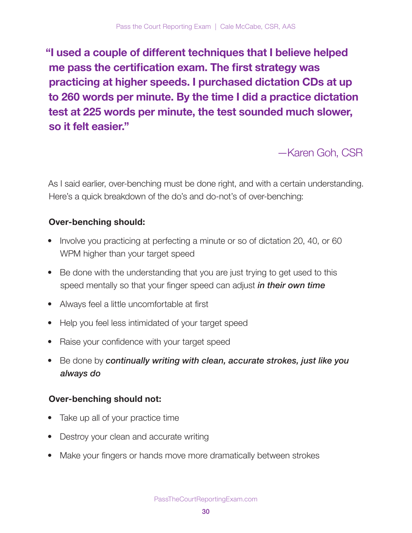"I used a couple of different techniques that I believe helped me pass the certification exam. The first strategy was practicing at higher speeds. I purchased dictation CDs at up to 260 words per minute. By the time I did a practice dictation test at 225 words per minute, the test sounded much slower, so it felt easier."

—Karen Goh, CSR

As I said earlier, over-benching must be done right, and with a certain understanding. Here's a quick breakdown of the do's and do-not's of over-benching:

### Over-benching should:

- Involve you practicing at perfecting a minute or so of dictation 20, 40, or 60 WPM higher than your target speed
- Be done with the understanding that you are just trying to get used to this speed mentally so that your finger speed can adjust *in their own time*
- Always feel a little uncomfortable at first
- Help you feel less intimidated of your target speed
- Raise your confidence with your target speed
- Be done by continually writing with clean, accurate strokes, just like you always do

### Over-benching should not:

- Take up all of your practice time
- Destroy your clean and accurate writing
- Make your fingers or hands move more dramatically between strokes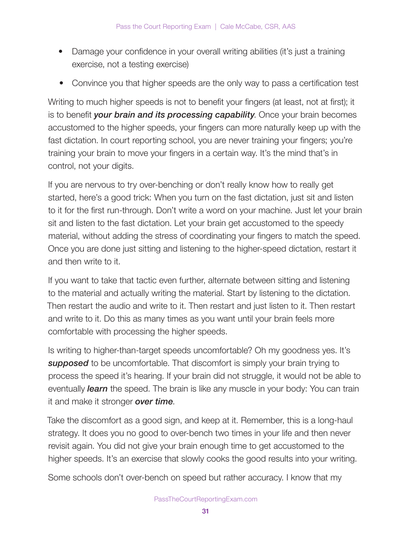- Damage your confidence in your overall writing abilities (it's just a training exercise, not a testing exercise)
- Convince you that higher speeds are the only way to pass a certification test

Writing to much higher speeds is not to benefit your fingers (at least, not at first); it is to benefit your brain and its processing capability. Once your brain becomes accustomed to the higher speeds, your fingers can more naturally keep up with the fast dictation. In court reporting school, you are never training your fingers; you're training your brain to move your fingers in a certain way. It's the mind that's in control, not your digits.

If you are nervous to try over-benching or don't really know how to really get started, here's a good trick: When you turn on the fast dictation, just sit and listen to it for the first run-through. Don't write a word on your machine. Just let your brain sit and listen to the fast dictation. Let your brain get accustomed to the speedy material, without adding the stress of coordinating your fingers to match the speed. Once you are done just sitting and listening to the higher-speed dictation, restart it and then write to it.

If you want to take that tactic even further, alternate between sitting and listening to the material and actually writing the material. Start by listening to the dictation. Then restart the audio and write to it. Then restart and just listen to it. Then restart and write to it. Do this as many times as you want until your brain feels more comfortable with processing the higher speeds.

Is writing to higher-than-target speeds uncomfortable? Oh my goodness yes. It's supposed to be uncomfortable. That discomfort is simply your brain trying to process the speed it's hearing. If your brain did not struggle, it would not be able to eventually *learn* the speed. The brain is like any muscle in your body: You can train it and make it stronger **over time**.

Take the discomfort as a good sign, and keep at it. Remember, this is a long-haul strategy. It does you no good to over-bench two times in your life and then never revisit again. You did not give your brain enough time to get accustomed to the higher speeds. It's an exercise that slowly cooks the good results into your writing.

Some schools don't over-bench on speed but rather accuracy. I know that my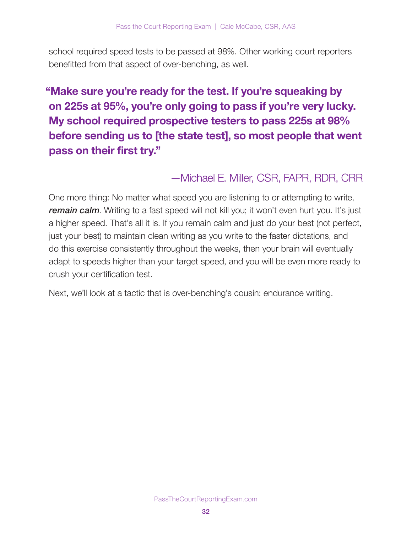school required speed tests to be passed at 98%. Other working court reporters benefitted from that aspect of over-benching, as well.

### "Make sure you're ready for the test. If you're squeaking by on 225s at 95%, you're only going to pass if you're very lucky. My school required prospective testers to pass 225s at 98% before sending us to [the state test], so most people that went pass on their first try."

### —Michael E. Miller, CSR, FAPR, RDR, CRR

One more thing: No matter what speed you are listening to or attempting to write, remain calm. Writing to a fast speed will not kill you; it won't even hurt you. It's just a higher speed. That's all it is. If you remain calm and just do your best (not perfect, just your best) to maintain clean writing as you write to the faster dictations, and do this exercise consistently throughout the weeks, then your brain will eventually adapt to speeds higher than your target speed, and you will be even more ready to crush your certification test.

Next, we'll look at a tactic that is over-benching's cousin: endurance writing.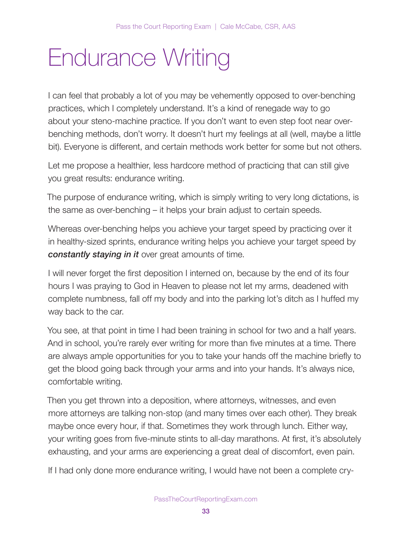# Endurance Writing

I can feel that probably a lot of you may be vehemently opposed to over-benching practices, which I completely understand. It's a kind of renegade way to go about your steno-machine practice. If you don't want to even step foot near overbenching methods, don't worry. It doesn't hurt my feelings at all (well, maybe a little bit). Everyone is different, and certain methods work better for some but not others.

Let me propose a healthier, less hardcore method of practicing that can still give you great results: endurance writing.

The purpose of endurance writing, which is simply writing to very long dictations, is the same as over-benching – it helps your brain adjust to certain speeds.

Whereas over-benching helps you achieve your target speed by practicing over it in healthy-sized sprints, endurance writing helps you achieve your target speed by constantly staying in it over great amounts of time.

I will never forget the first deposition I interned on, because by the end of its four hours I was praying to God in Heaven to please not let my arms, deadened with complete numbness, fall off my body and into the parking lot's ditch as I huffed my way back to the car.

You see, at that point in time I had been training in school for two and a half years. And in school, you're rarely ever writing for more than five minutes at a time. There are always ample opportunities for you to take your hands off the machine briefly to get the blood going back through your arms and into your hands. It's always nice, comfortable writing.

Then you get thrown into a deposition, where attorneys, witnesses, and even more attorneys are talking non-stop (and many times over each other). They break maybe once every hour, if that. Sometimes they work through lunch. Either way, your writing goes from five-minute stints to all-day marathons. At first, it's absolutely exhausting, and your arms are experiencing a great deal of discomfort, even pain.

If I had only done more endurance writing, I would have not been a complete cry-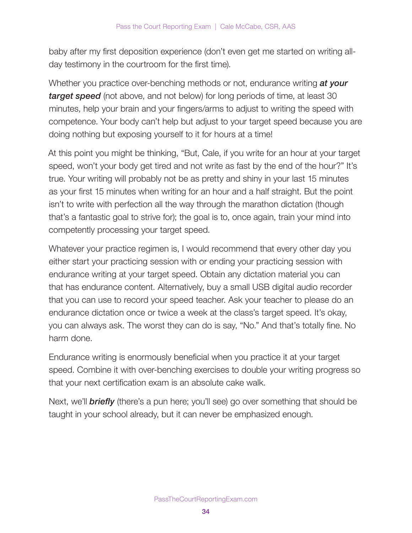baby after my first deposition experience (don't even get me started on writing allday testimony in the courtroom for the first time).

Whether you practice over-benching methods or not, endurance writing at your **target speed** (not above, and not below) for long periods of time, at least 30 minutes, help your brain and your fingers/arms to adjust to writing the speed with competence. Your body can't help but adjust to your target speed because you are doing nothing but exposing yourself to it for hours at a time!

At this point you might be thinking, "But, Cale, if you write for an hour at your target speed, won't your body get tired and not write as fast by the end of the hour?" It's true. Your writing will probably not be as pretty and shiny in your last 15 minutes as your first 15 minutes when writing for an hour and a half straight. But the point isn't to write with perfection all the way through the marathon dictation (though that's a fantastic goal to strive for); the goal is to, once again, train your mind into competently processing your target speed.

Whatever your practice regimen is, I would recommend that every other day you either start your practicing session with or ending your practicing session with endurance writing at your target speed. Obtain any dictation material you can that has endurance content. Alternatively, buy a small USB digital audio recorder that you can use to record your speed teacher. Ask your teacher to please do an endurance dictation once or twice a week at the class's target speed. It's okay, you can always ask. The worst they can do is say, "No." And that's totally fine. No harm done.

Endurance writing is enormously beneficial when you practice it at your target speed. Combine it with over-benching exercises to double your writing progress so that your next certification exam is an absolute cake walk.

Next, we'll **briefly** (there's a pun here; you'll see) go over something that should be taught in your school already, but it can never be emphasized enough.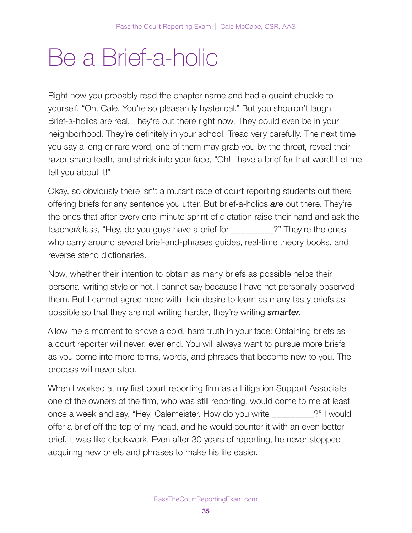# Be a Brief-a-holic

Right now you probably read the chapter name and had a quaint chuckle to yourself. "Oh, Cale. You're so pleasantly hysterical." But you shouldn't laugh. Brief-a-holics are real. They're out there right now. They could even be in your neighborhood. They're definitely in your school. Tread very carefully. The next time you say a long or rare word, one of them may grab you by the throat, reveal their razor-sharp teeth, and shriek into your face, "Oh! I have a brief for that word! Let me tell you about it!"

Okay, so obviously there isn't a mutant race of court reporting students out there offering briefs for any sentence you utter. But brief-a-holics **are** out there. They're the ones that after every one-minute sprint of dictation raise their hand and ask the teacher/class, "Hey, do you guys have a brief for \_\_\_\_\_\_\_\_\_?" They're the ones who carry around several brief-and-phrases guides, real-time theory books, and reverse steno dictionaries.

Now, whether their intention to obtain as many briefs as possible helps their personal writing style or not, I cannot say because I have not personally observed them. But I cannot agree more with their desire to learn as many tasty briefs as possible so that they are not writing harder, they're writing **smarter**.

Allow me a moment to shove a cold, hard truth in your face: Obtaining briefs as a court reporter will never, ever end. You will always want to pursue more briefs as you come into more terms, words, and phrases that become new to you. The process will never stop.

When I worked at my first court reporting firm as a Litigation Support Associate, one of the owners of the firm, who was still reporting, would come to me at least once a week and say, "Hey, Calemeister. How do you write \_\_\_\_\_\_\_\_\_?" I would offer a brief off the top of my head, and he would counter it with an even better brief. It was like clockwork. Even after 30 years of reporting, he never stopped acquiring new briefs and phrases to make his life easier.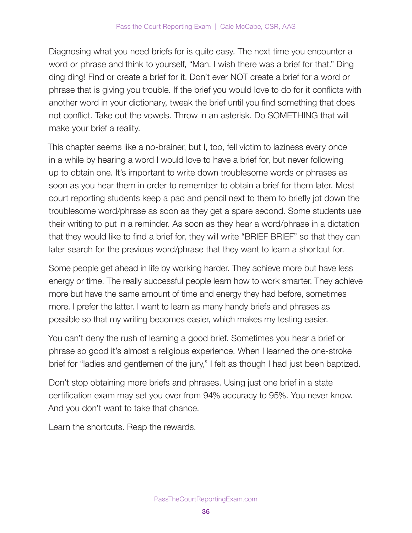Diagnosing what you need briefs for is quite easy. The next time you encounter a word or phrase and think to yourself, "Man. I wish there was a brief for that." Ding ding ding! Find or create a brief for it. Don't ever NOT create a brief for a word or phrase that is giving you trouble. If the brief you would love to do for it conflicts with another word in your dictionary, tweak the brief until you find something that does not conflict. Take out the vowels. Throw in an asterisk. Do SOMETHING that will make your brief a reality.

This chapter seems like a no-brainer, but I, too, fell victim to laziness every once in a while by hearing a word I would love to have a brief for, but never following up to obtain one. It's important to write down troublesome words or phrases as soon as you hear them in order to remember to obtain a brief for them later. Most court reporting students keep a pad and pencil next to them to briefly jot down the troublesome word/phrase as soon as they get a spare second. Some students use their writing to put in a reminder. As soon as they hear a word/phrase in a dictation that they would like to find a brief for, they will write "BRIEF BRIEF" so that they can later search for the previous word/phrase that they want to learn a shortcut for.

Some people get ahead in life by working harder. They achieve more but have less energy or time. The really successful people learn how to work smarter. They achieve more but have the same amount of time and energy they had before, sometimes more. I prefer the latter. I want to learn as many handy briefs and phrases as possible so that my writing becomes easier, which makes my testing easier.

You can't deny the rush of learning a good brief. Sometimes you hear a brief or phrase so good it's almost a religious experience. When I learned the one-stroke brief for "ladies and gentlemen of the jury," I felt as though I had just been baptized.

Don't stop obtaining more briefs and phrases. Using just one brief in a state certification exam may set you over from 94% accuracy to 95%. You never know. And you don't want to take that chance.

Learn the shortcuts. Reap the rewards.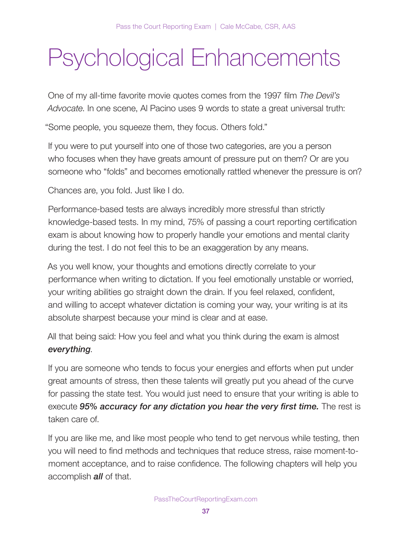# Psychological Enhancements

One of my all-time favorite movie quotes comes from the 1997 film The Devil's Advocate. In one scene, Al Pacino uses 9 words to state a great universal truth:

"Some people, you squeeze them, they focus. Others fold."

If you were to put yourself into one of those two categories, are you a person who focuses when they have greats amount of pressure put on them? Or are you someone who "folds" and becomes emotionally rattled whenever the pressure is on?

Chances are, you fold. Just like I do.

Performance-based tests are always incredibly more stressful than strictly knowledge-based tests. In my mind, 75% of passing a court reporting certification exam is about knowing how to properly handle your emotions and mental clarity during the test. I do not feel this to be an exaggeration by any means.

As you well know, your thoughts and emotions directly correlate to your performance when writing to dictation. If you feel emotionally unstable or worried, your writing abilities go straight down the drain. If you feel relaxed, confident, and willing to accept whatever dictation is coming your way, your writing is at its absolute sharpest because your mind is clear and at ease.

All that being said: How you feel and what you think during the exam is almost everything.

If you are someone who tends to focus your energies and efforts when put under great amounts of stress, then these talents will greatly put you ahead of the curve for passing the state test. You would just need to ensure that your writing is able to execute 95% accuracy for any dictation you hear the very first time. The rest is taken care of.

If you are like me, and like most people who tend to get nervous while testing, then you will need to find methods and techniques that reduce stress, raise moment-tomoment acceptance, and to raise confidence. The following chapters will help you accomplish **all** of that.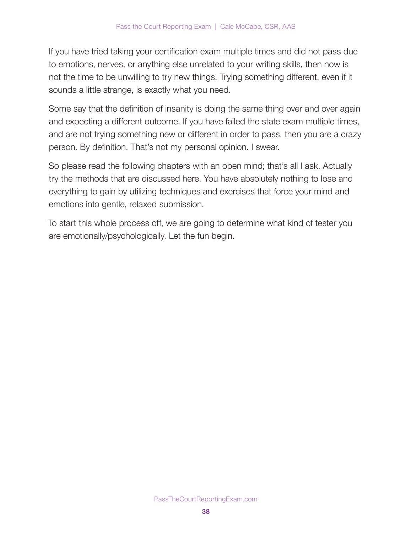If you have tried taking your certification exam multiple times and did not pass due to emotions, nerves, or anything else unrelated to your writing skills, then now is not the time to be unwilling to try new things. Trying something different, even if it sounds a little strange, is exactly what you need.

Some say that the definition of insanity is doing the same thing over and over again and expecting a different outcome. If you have failed the state exam multiple times, and are not trying something new or different in order to pass, then you are a crazy person. By definition. That's not my personal opinion. I swear.

So please read the following chapters with an open mind; that's all I ask. Actually try the methods that are discussed here. You have absolutely nothing to lose and everything to gain by utilizing techniques and exercises that force your mind and emotions into gentle, relaxed submission.

To start this whole process off, we are going to determine what kind of tester you are emotionally/psychologically. Let the fun begin.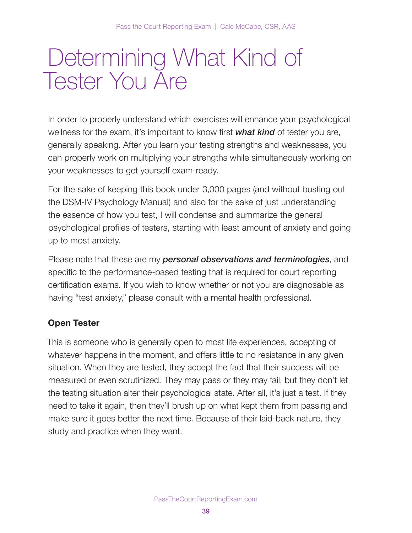# Determining What Kind of Tester You Are

In order to properly understand which exercises will enhance your psychological wellness for the exam, it's important to know first **what kind** of tester you are, generally speaking. After you learn your testing strengths and weaknesses, you can properly work on multiplying your strengths while simultaneously working on your weaknesses to get yourself exam-ready.

For the sake of keeping this book under 3,000 pages (and without busting out the DSM-IV Psychology Manual) and also for the sake of just understanding the essence of how you test, I will condense and summarize the general psychological profiles of testers, starting with least amount of anxiety and going up to most anxiety.

Please note that these are my **personal observations and terminologies**, and specific to the performance-based testing that is required for court reporting certification exams. If you wish to know whether or not you are diagnosable as having "test anxiety," please consult with a mental health professional.

## Open Tester

This is someone who is generally open to most life experiences, accepting of whatever happens in the moment, and offers little to no resistance in any given situation. When they are tested, they accept the fact that their success will be measured or even scrutinized. They may pass or they may fail, but they don't let the testing situation alter their psychological state. After all, it's just a test. If they need to take it again, then they'll brush up on what kept them from passing and make sure it goes better the next time. Because of their laid-back nature, they study and practice when they want.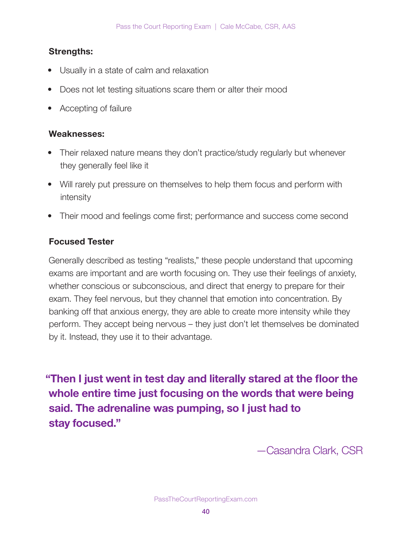## Strengths:

- Usually in a state of calm and relaxation
- Does not let testing situations scare them or alter their mood
- Accepting of failure

### Weaknesses:

- Their relaxed nature means they don't practice/study regularly but whenever they generally feel like it
- Will rarely put pressure on themselves to help them focus and perform with intensity
- Their mood and feelings come first; performance and success come second

## Focused Tester

Generally described as testing "realists," these people understand that upcoming exams are important and are worth focusing on. They use their feelings of anxiety, whether conscious or subconscious, and direct that energy to prepare for their exam. They feel nervous, but they channel that emotion into concentration. By banking off that anxious energy, they are able to create more intensity while they perform. They accept being nervous – they just don't let themselves be dominated by it. Instead, they use it to their advantage.

"Then I just went in test day and literally stared at the floor the whole entire time just focusing on the words that were being said. The adrenaline was pumping, so I just had to stay focused."

—Casandra Clark, CSR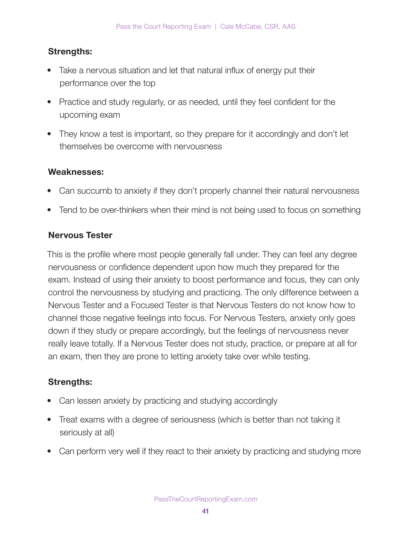## Strengths:

- Take a nervous situation and let that natural influx of energy put their performance over the top
- Practice and study regularly, or as needed, until they feel confident for the upcoming exam
- They know a test is important, so they prepare for it accordingly and don't let themselves be overcome with nervousness

### Weaknesses:

- Can succumb to anxiety if they don't properly channel their natural nervousness
- Tend to be over-thinkers when their mind is not being used to focus on something

## Nervous Tester

This is the profile where most people generally fall under. They can feel any degree nervousness or confidence dependent upon how much they prepared for the exam. Instead of using their anxiety to boost performance and focus, they can only control the nervousness by studying and practicing. The only difference between a Nervous Tester and a Focused Tester is that Nervous Testers do not know how to channel those negative feelings into focus. For Nervous Testers, anxiety only goes down if they study or prepare accordingly, but the feelings of nervousness never really leave totally. If a Nervous Tester does not study, practice, or prepare at all for an exam, then they are prone to letting anxiety take over while testing.

## Strengths:

- Can lessen anxiety by practicing and studying accordingly
- Treat exams with a degree of seriousness (which is better than not taking it seriously at all)
- Can perform very well if they react to their anxiety by practicing and studying more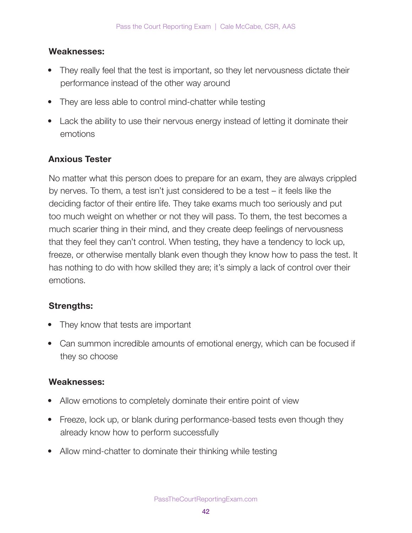### Weaknesses:

- They really feel that the test is important, so they let nervousness dictate their performance instead of the other way around
- They are less able to control mind-chatter while testing
- Lack the ability to use their nervous energy instead of letting it dominate their emotions

## Anxious Tester

No matter what this person does to prepare for an exam, they are always crippled by nerves. To them, a test isn't just considered to be a test – it feels like the deciding factor of their entire life. They take exams much too seriously and put too much weight on whether or not they will pass. To them, the test becomes a much scarier thing in their mind, and they create deep feelings of nervousness that they feel they can't control. When testing, they have a tendency to lock up, freeze, or otherwise mentally blank even though they know how to pass the test. It has nothing to do with how skilled they are; it's simply a lack of control over their emotions.

## Strengths:

- They know that tests are important
- Can summon incredible amounts of emotional energy, which can be focused if they so choose

## Weaknesses:

- Allow emotions to completely dominate their entire point of view
- Freeze, lock up, or blank during performance-based tests even though they already know how to perform successfully
- Allow mind-chatter to dominate their thinking while testing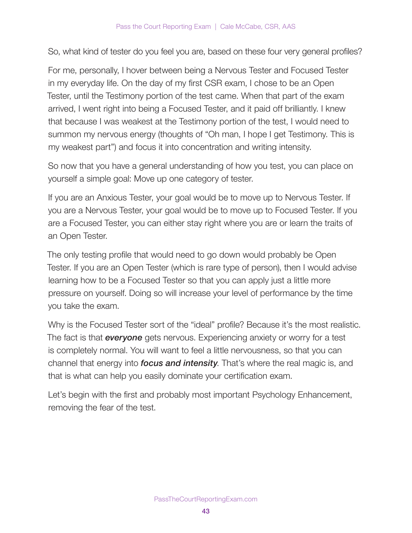So, what kind of tester do you feel you are, based on these four very general profiles?

For me, personally, I hover between being a Nervous Tester and Focused Tester in my everyday life. On the day of my first CSR exam, I chose to be an Open Tester, until the Testimony portion of the test came. When that part of the exam arrived, I went right into being a Focused Tester, and it paid off brilliantly. I knew that because I was weakest at the Testimony portion of the test, I would need to summon my nervous energy (thoughts of "Oh man, I hope I get Testimony. This is my weakest part") and focus it into concentration and writing intensity.

So now that you have a general understanding of how you test, you can place on yourself a simple goal: Move up one category of tester.

If you are an Anxious Tester, your goal would be to move up to Nervous Tester. If you are a Nervous Tester, your goal would be to move up to Focused Tester. If you are a Focused Tester, you can either stay right where you are or learn the traits of an Open Tester.

The only testing profile that would need to go down would probably be Open Tester. If you are an Open Tester (which is rare type of person), then I would advise learning how to be a Focused Tester so that you can apply just a little more pressure on yourself. Doing so will increase your level of performance by the time you take the exam.

Why is the Focused Tester sort of the "ideal" profile? Because it's the most realistic. The fact is that **everyone** gets nervous. Experiencing anxiety or worry for a test is completely normal. You will want to feel a little nervousness, so that you can channel that energy into *focus and intensity*. That's where the real magic is, and that is what can help you easily dominate your certification exam.

Let's begin with the first and probably most important Psychology Enhancement, removing the fear of the test.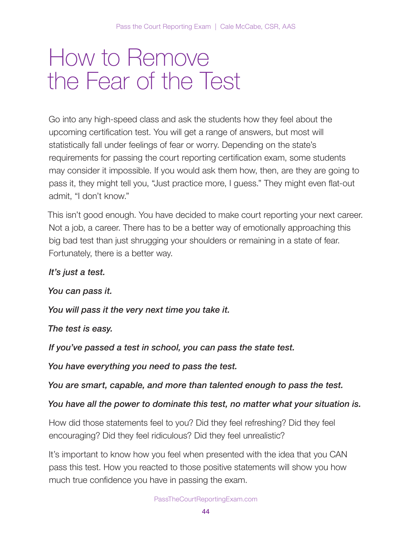## How to Remove the Fear of the Test

Go into any high-speed class and ask the students how they feel about the upcoming certification test. You will get a range of answers, but most will statistically fall under feelings of fear or worry. Depending on the state's requirements for passing the court reporting certification exam, some students may consider it impossible. If you would ask them how, then, are they are going to pass it, they might tell you, "Just practice more, I guess." They might even flat-out admit, "I don't know."

This isn't good enough. You have decided to make court reporting your next career. Not a job, a career. There has to be a better way of emotionally approaching this big bad test than just shrugging your shoulders or remaining in a state of fear. Fortunately, there is a better way.

### It's just a test.

You can pass it.

You will pass it the very next time you take it.

The test is easy.

If you've passed a test in school, you can pass the state test.

You have everything you need to pass the test.

You are smart, capable, and more than talented enough to pass the test.

### You have all the power to dominate this test, no matter what your situation is.

How did those statements feel to you? Did they feel refreshing? Did they feel encouraging? Did they feel ridiculous? Did they feel unrealistic?

It's important to know how you feel when presented with the idea that you CAN pass this test. How you reacted to those positive statements will show you how much true confidence you have in passing the exam.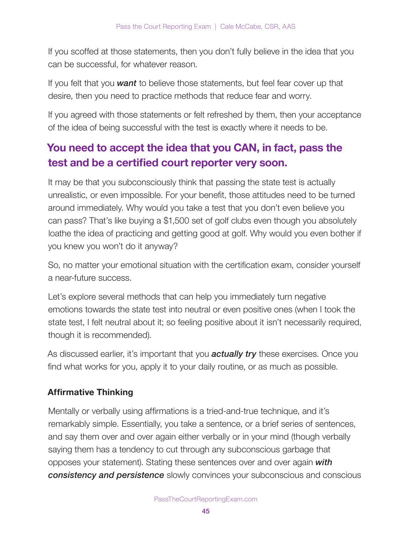If you scoffed at those statements, then you don't fully believe in the idea that you can be successful, for whatever reason.

If you felt that you **want** to believe those statements, but feel fear cover up that desire, then you need to practice methods that reduce fear and worry.

If you agreed with those statements or felt refreshed by them, then your acceptance of the idea of being successful with the test is exactly where it needs to be.

## You need to accept the idea that you CAN, in fact, pass the test and be a certified court reporter very soon.

It may be that you subconsciously think that passing the state test is actually unrealistic, or even impossible. For your benefit, those attitudes need to be turned around immediately. Why would you take a test that you don't even believe you can pass? That's like buying a \$1,500 set of golf clubs even though you absolutely loathe the idea of practicing and getting good at golf. Why would you even bother if you knew you won't do it anyway?

So, no matter your emotional situation with the certification exam, consider yourself a near-future success.

Let's explore several methods that can help you immediately turn negative emotions towards the state test into neutral or even positive ones (when I took the state test, I felt neutral about it; so feeling positive about it isn't necessarily required, though it is recommended).

As discussed earlier, it's important that you **actually try** these exercises. Once you find what works for you, apply it to your daily routine, or as much as possible.

## Affirmative Thinking

Mentally or verbally using affirmations is a tried-and-true technique, and it's remarkably simple. Essentially, you take a sentence, or a brief series of sentences, and say them over and over again either verbally or in your mind (though verbally saying them has a tendency to cut through any subconscious garbage that opposes your statement). Stating these sentences over and over again with **consistency and persistence** slowly convinces your subconscious and conscious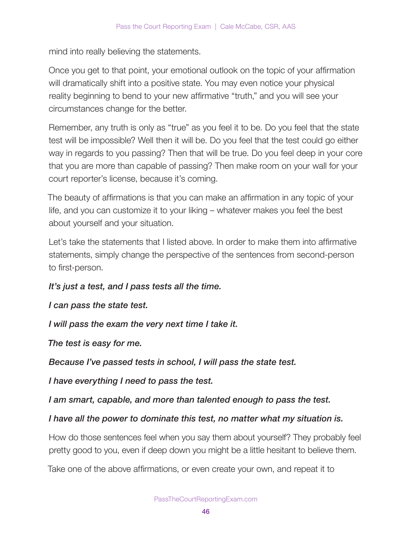mind into really believing the statements.

Once you get to that point, your emotional outlook on the topic of your affirmation will dramatically shift into a positive state. You may even notice your physical reality beginning to bend to your new affirmative "truth," and you will see your circumstances change for the better.

Remember, any truth is only as "true" as you feel it to be. Do you feel that the state test will be impossible? Well then it will be. Do you feel that the test could go either way in regards to you passing? Then that will be true. Do you feel deep in your core that you are more than capable of passing? Then make room on your wall for your court reporter's license, because it's coming.

The beauty of affirmations is that you can make an affirmation in any topic of your life, and you can customize it to your liking – whatever makes you feel the best about yourself and your situation.

Let's take the statements that I listed above. In order to make them into affirmative statements, simply change the perspective of the sentences from second-person to first-person.

It's just a test, and I pass tests all the time.

I can pass the state test.

I will pass the exam the very next time I take it.

The test is easy for me.

Because I've passed tests in school, I will pass the state test.

I have everything I need to pass the test.

I am smart, capable, and more than talented enough to pass the test.

I have all the power to dominate this test, no matter what my situation is.

How do those sentences feel when you say them about yourself? They probably feel pretty good to you, even if deep down you might be a little hesitant to believe them.

Take one of the above affirmations, or even create your own, and repeat it to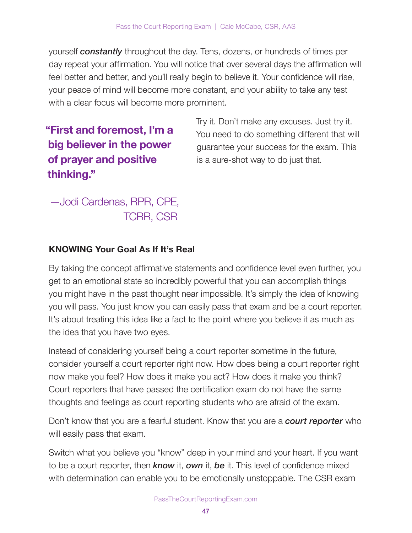yourself **constantly** throughout the day. Tens, dozens, or hundreds of times per day repeat your affirmation. You will notice that over several days the affirmation will feel better and better, and you'll really begin to believe it. Your confidence will rise, your peace of mind will become more constant, and your ability to take any test with a clear focus will become more prominent.

## "First and foremost, I'm a big believer in the power of prayer and positive thinking."

Try it. Don't make any excuses. Just try it. You need to do something different that will guarantee your success for the exam. This is a sure-shot way to do just that.

## —Jodi Cardenas, RPR, CPE, TCRR, CSR

## KNOWING Your Goal As If It's Real

By taking the concept affirmative statements and confidence level even further, you get to an emotional state so incredibly powerful that you can accomplish things you might have in the past thought near impossible. It's simply the idea of knowing you will pass. You just know you can easily pass that exam and be a court reporter. It's about treating this idea like a fact to the point where you believe it as much as the idea that you have two eyes.

Instead of considering yourself being a court reporter sometime in the future, consider yourself a court reporter right now. How does being a court reporter right now make you feel? How does it make you act? How does it make you think? Court reporters that have passed the certification exam do not have the same thoughts and feelings as court reporting students who are afraid of the exam.

Don't know that you are a fearful student. Know that you are a **court reporter** who will easily pass that exam.

Switch what you believe you "know" deep in your mind and your heart. If you want to be a court reporter, then  $known$  it, own it, be it. This level of confidence mixed with determination can enable you to be emotionally unstoppable. The CSR exam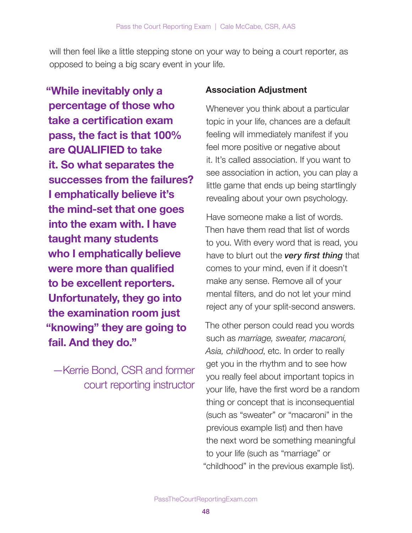will then feel like a little stepping stone on your way to being a court reporter, as opposed to being a big scary event in your life.

"While inevitably only a percentage of those who take a certification exam pass, the fact is that 100% are QUALIFIED to take it. So what separates the successes from the failures? I emphatically believe it's the mind-set that one goes into the exam with. I have taught many students who I emphatically believe were more than qualified to be excellent reporters. Unfortunately, they go into the examination room just "knowing" they are going to fail. And they do."

—Kerrie Bond, CSR and former court reporting instructor

## Association Adjustment

Whenever you think about a particular topic in your life, chances are a default feeling will immediately manifest if you feel more positive or negative about it. It's called association. If you want to see association in action, you can play a little game that ends up being startlingly revealing about your own psychology.

Have someone make a list of words. Then have them read that list of words to you. With every word that is read, you have to blurt out the very first thing that comes to your mind, even if it doesn't make any sense. Remove all of your mental filters, and do not let your mind reject any of your split-second answers.

The other person could read you words such as marriage, sweater, macaroni, Asia, childhood, etc. In order to really get you in the rhythm and to see how you really feel about important topics in your life, have the first word be a random thing or concept that is inconsequential (such as "sweater" or "macaroni" in the previous example list) and then have the next word be something meaningful to your life (such as "marriage" or "childhood" in the previous example list).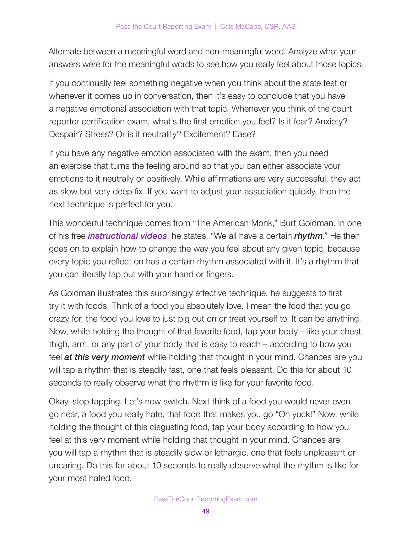Alternate between a meaningful word and non-meaningful word. Analyze what your answers were for the meaningful words to see how you really feel about those topics.

If you continually feel something negative when you think about the state test or whenever it comes up in conversation, then it's easy to conclude that you have a negative emotional association with that topic. Whenever you think of the court reporter certification exam, what's the first emotion you feel? Is it fear? Anxiety? Despair? Stress? Or is it neutrality? Excitement? Ease?

If you have any negative emotion associated with the exam, then you need an exercise that turns the feeling around so that you can either associate your emotions to it neutrally or positively. While affirmations are very successful, they act as slow but very deep fix. If you want to adjust your association quickly, then the next technique is perfect for you.

This wonderful technique comes from "The American Monk," Burt Goldman. In one of his free *instructional videos*, he states, "We all have a certain *rhythm*." He then goes on to explain how to change the way you feel about any given topic, because every topic you reflect on has a certain rhythm associated with it. It's a rhythm that you can literally tap out with your hand or fingers.

As Goldman illustrates this surprisingly effective technique, he suggests to first try it with foods. Think of a food you absolutely love. I mean the food that you go crazy for, the food you love to just pig out on or treat yourself to. It can be anything. Now, while holding the thought of that favorite food, tap your body – like your chest, thigh, arm, or any part of your body that is easy to reach – according to how you feel **at this very moment** while holding that thought in your mind. Chances are you will tap a rhythm that is steadily fast, one that feels pleasant. Do this for about 10 seconds to really observe what the rhythm is like for your favorite food.

Okay, stop tapping. Let's now switch. Next think of a food you would never even go near, a food you really hate, that food that makes you go "Oh yuck!" Now, while holding the thought of this disgusting food, tap your body according to how you feel at this very moment while holding that thought in your mind. Chances are you will tap a rhythm that is steadily slow or lethargic, one that feels unpleasant or uncaring. Do this for about 10 seconds to really observe what the rhythm is like for your most hated food.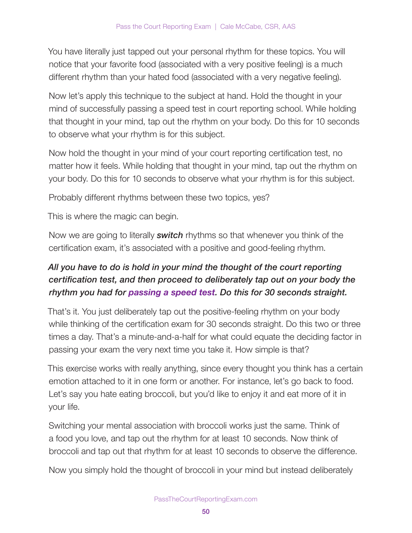You have literally just tapped out your personal rhythm for these topics. You will notice that your favorite food (associated with a very positive feeling) is a much different rhythm than your hated food (associated with a very negative feeling).

Now let's apply this technique to the subject at hand. Hold the thought in your mind of successfully passing a speed test in court reporting school. While holding that thought in your mind, tap out the rhythm on your body. Do this for 10 seconds to observe what your rhythm is for this subject.

Now hold the thought in your mind of your court reporting certification test, no matter how it feels. While holding that thought in your mind, tap out the rhythm on your body. Do this for 10 seconds to observe what your rhythm is for this subject.

Probably different rhythms between these two topics, yes?

This is where the magic can begin.

Now we are going to literally **switch** rhythms so that whenever you think of the certification exam, it's associated with a positive and good-feeling rhythm.

## All you have to do is hold in your mind the thought of the court reporting certification test, and then proceed to deliberately tap out on your body the rhythm you had for passing a speed test. Do this for 30 seconds straight.

That's it. You just deliberately tap out the positive-feeling rhythm on your body while thinking of the certification exam for 30 seconds straight. Do this two or three times a day. That's a minute-and-a-half for what could equate the deciding factor in passing your exam the very next time you take it. How simple is that?

This exercise works with really anything, since every thought you think has a certain emotion attached to it in one form or another. For instance, let's go back to food. Let's say you hate eating broccoli, but you'd like to enjoy it and eat more of it in your life.

Switching your mental association with broccoli works just the same. Think of a food you love, and tap out the rhythm for at least 10 seconds. Now think of broccoli and tap out that rhythm for at least 10 seconds to observe the difference.

Now you simply hold the thought of broccoli in your mind but instead deliberately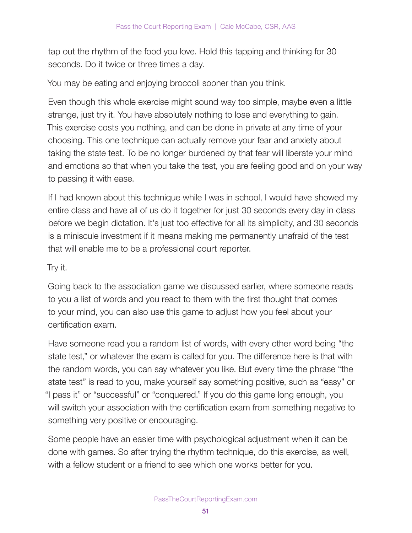tap out the rhythm of the food you love. Hold this tapping and thinking for 30 seconds. Do it twice or three times a day.

You may be eating and enjoying broccoli sooner than you think.

Even though this whole exercise might sound way too simple, maybe even a little strange, just try it. You have absolutely nothing to lose and everything to gain. This exercise costs you nothing, and can be done in private at any time of your choosing. This one technique can actually remove your fear and anxiety about taking the state test. To be no longer burdened by that fear will liberate your mind and emotions so that when you take the test, you are feeling good and on your way to passing it with ease.

If I had known about this technique while I was in school, I would have showed my entire class and have all of us do it together for just 30 seconds every day in class before we begin dictation. It's just too effective for all its simplicity, and 30 seconds is a miniscule investment if it means making me permanently unafraid of the test that will enable me to be a professional court reporter.

Try it.

Going back to the association game we discussed earlier, where someone reads to you a list of words and you react to them with the first thought that comes to your mind, you can also use this game to adjust how you feel about your certification exam.

Have someone read you a random list of words, with every other word being "the state test," or whatever the exam is called for you. The difference here is that with the random words, you can say whatever you like. But every time the phrase "the state test" is read to you, make yourself say something positive, such as "easy" or "I pass it" or "successful" or "conquered." If you do this game long enough, you will switch your association with the certification exam from something negative to something very positive or encouraging.

Some people have an easier time with psychological adjustment when it can be done with games. So after trying the rhythm technique, do this exercise, as well, with a fellow student or a friend to see which one works better for you.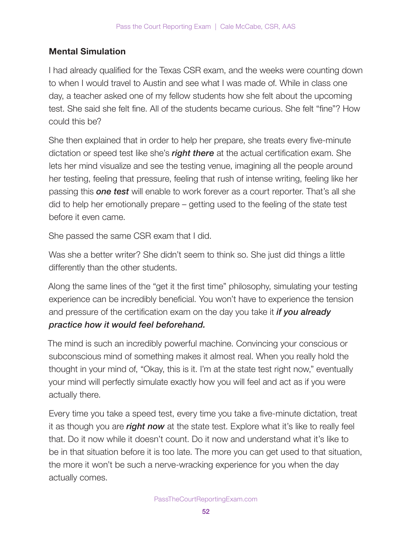## Mental Simulation

I had already qualified for the Texas CSR exam, and the weeks were counting down to when I would travel to Austin and see what I was made of. While in class one day, a teacher asked one of my fellow students how she felt about the upcoming test. She said she felt fine. All of the students became curious. She felt "fine"? How could this be?

She then explained that in order to help her prepare, she treats every five-minute dictation or speed test like she's right there at the actual certification exam. She lets her mind visualize and see the testing venue, imagining all the people around her testing, feeling that pressure, feeling that rush of intense writing, feeling like her passing this **one test** will enable to work forever as a court reporter. That's all she did to help her emotionally prepare – getting used to the feeling of the state test before it even came.

She passed the same CSR exam that I did.

Was she a better writer? She didn't seem to think so. She just did things a little differently than the other students.

Along the same lines of the "get it the first time" philosophy, simulating your testing experience can be incredibly beneficial. You won't have to experience the tension and pressure of the certification exam on the day you take it *if you already* practice how it would feel beforehand.

The mind is such an incredibly powerful machine. Convincing your conscious or subconscious mind of something makes it almost real. When you really hold the thought in your mind of, "Okay, this is it. I'm at the state test right now," eventually your mind will perfectly simulate exactly how you will feel and act as if you were actually there.

Every time you take a speed test, every time you take a five-minute dictation, treat it as though you are right now at the state test. Explore what it's like to really feel that. Do it now while it doesn't count. Do it now and understand what it's like to be in that situation before it is too late. The more you can get used to that situation, the more it won't be such a nerve-wracking experience for you when the day actually comes.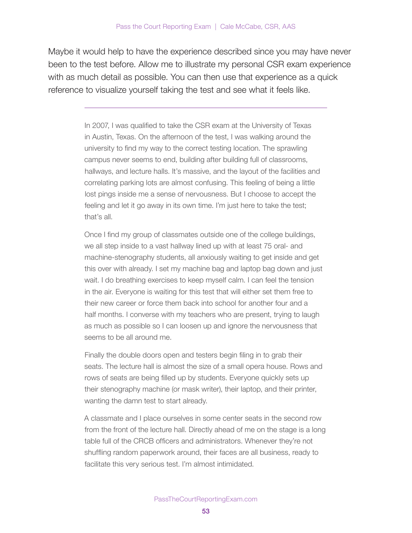Maybe it would help to have the experience described since you may have never been to the test before. Allow me to illustrate my personal CSR exam experience with as much detail as possible. You can then use that experience as a quick reference to visualize yourself taking the test and see what it feels like.

> In 2007, I was qualified to take the CSR exam at the University of Texas in Austin, Texas. On the afternoon of the test, I was walking around the university to find my way to the correct testing location. The sprawling campus never seems to end, building after building full of classrooms, hallways, and lecture halls. It's massive, and the layout of the facilities and correlating parking lots are almost confusing. This feeling of being a little lost pings inside me a sense of nervousness. But I choose to accept the feeling and let it go away in its own time. I'm just here to take the test; that's all.

> Once I find my group of classmates outside one of the college buildings, we all step inside to a vast hallway lined up with at least 75 oral- and machine-stenography students, all anxiously waiting to get inside and get this over with already. I set my machine bag and laptop bag down and just wait. I do breathing exercises to keep myself calm. I can feel the tension in the air. Everyone is waiting for this test that will either set them free to their new career or force them back into school for another four and a half months. I converse with my teachers who are present, trying to laugh as much as possible so I can loosen up and ignore the nervousness that seems to be all around me.

> Finally the double doors open and testers begin filing in to grab their seats. The lecture hall is almost the size of a small opera house. Rows and rows of seats are being filled up by students. Everyone quickly sets up their stenography machine (or mask writer), their laptop, and their printer, wanting the damn test to start already.

A classmate and I place ourselves in some center seats in the second row from the front of the lecture hall. Directly ahead of me on the stage is a long table full of the CRCB officers and administrators. Whenever they're not shuffling random paperwork around, their faces are all business, ready to facilitate this very serious test. I'm almost intimidated.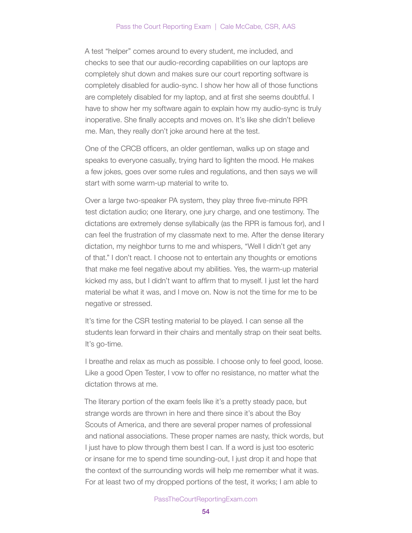A test "helper" comes around to every student, me included, and checks to see that our audio-recording capabilities on our laptops are completely shut down and makes sure our court reporting software is completely disabled for audio-sync. I show her how all of those functions are completely disabled for my laptop, and at first she seems doubtful. I have to show her my software again to explain how my audio-sync is truly inoperative. She finally accepts and moves on. It's like she didn't believe me. Man, they really don't joke around here at the test.

One of the CRCB officers, an older gentleman, walks up on stage and speaks to everyone casually, trying hard to lighten the mood. He makes a few jokes, goes over some rules and regulations, and then says we will start with some warm-up material to write to.

Over a large two-speaker PA system, they play three five-minute RPR test dictation audio; one literary, one jury charge, and one testimony. The dictations are extremely dense syllabically (as the RPR is famous for), and I can feel the frustration of my classmate next to me. After the dense literary dictation, my neighbor turns to me and whispers, "Well I didn't get any of that." I don't react. I choose not to entertain any thoughts or emotions that make me feel negative about my abilities. Yes, the warm-up material kicked my ass, but I didn't want to affirm that to myself. I just let the hard material be what it was, and I move on. Now is not the time for me to be negative or stressed.

It's time for the CSR testing material to be played. I can sense all the students lean forward in their chairs and mentally strap on their seat belts. It's go-time.

I breathe and relax as much as possible. I choose only to feel good, loose. Like a good Open Tester, I vow to offer no resistance, no matter what the dictation throws at me.

The literary portion of the exam feels like it's a pretty steady pace, but strange words are thrown in here and there since it's about the Boy Scouts of America, and there are several proper names of professional and national associations. These proper names are nasty, thick words, but I just have to plow through them best I can. If a word is just too esoteric or insane for me to spend time sounding-out, I just drop it and hope that the context of the surrounding words will help me remember what it was. For at least two of my dropped portions of the test, it works; I am able to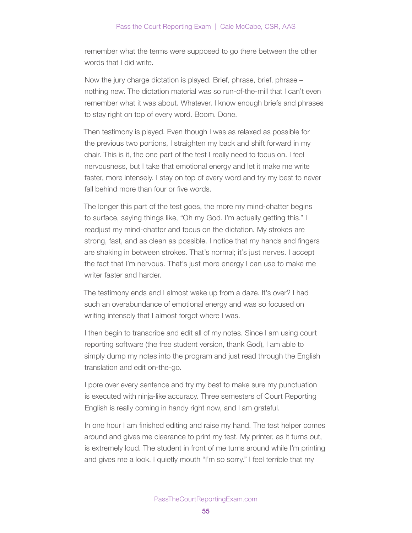remember what the terms were supposed to go there between the other words that I did write.

Now the jury charge dictation is played. Brief, phrase, brief, phrase – nothing new. The dictation material was so run-of-the-mill that I can't even remember what it was about. Whatever. I know enough briefs and phrases to stay right on top of every word. Boom. Done.

Then testimony is played. Even though I was as relaxed as possible for the previous two portions, I straighten my back and shift forward in my chair. This is it, the one part of the test I really need to focus on. I feel nervousness, but I take that emotional energy and let it make me write faster, more intensely. I stay on top of every word and try my best to never fall behind more than four or five words.

The longer this part of the test goes, the more my mind-chatter begins to surface, saying things like, "Oh my God. I'm actually getting this." I readjust my mind-chatter and focus on the dictation. My strokes are strong, fast, and as clean as possible. I notice that my hands and fingers are shaking in between strokes. That's normal; it's just nerves. I accept the fact that I'm nervous. That's just more energy I can use to make me writer faster and harder.

The testimony ends and I almost wake up from a daze. It's over? I had such an overabundance of emotional energy and was so focused on writing intensely that I almost forgot where I was.

I then begin to transcribe and edit all of my notes. Since I am using court reporting software (the free student version, thank God), I am able to simply dump my notes into the program and just read through the English translation and edit on-the-go.

I pore over every sentence and try my best to make sure my punctuation is executed with ninja-like accuracy. Three semesters of Court Reporting English is really coming in handy right now, and I am grateful.

In one hour I am finished editing and raise my hand. The test helper comes around and gives me clearance to print my test. My printer, as it turns out, is extremely loud. The student in front of me turns around while I'm printing and gives me a look. I quietly mouth "I'm so sorry." I feel terrible that my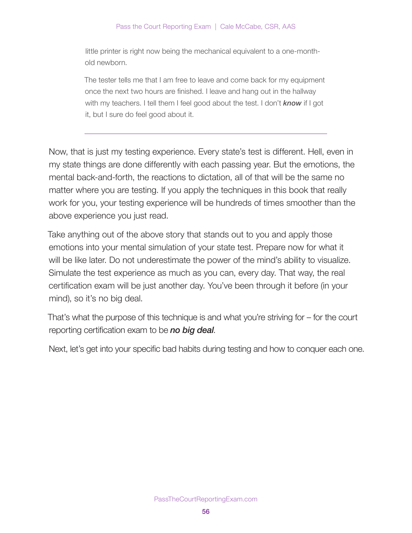little printer is right now being the mechanical equivalent to a one-monthold newborn.

The tester tells me that I am free to leave and come back for my equipment once the next two hours are finished. I leave and hang out in the hallway with my teachers. I tell them I feel good about the test. I don't  $known$  if I got it, but I sure do feel good about it.

Now, that is just my testing experience. Every state's test is different. Hell, even in my state things are done differently with each passing year. But the emotions, the mental back-and-forth, the reactions to dictation, all of that will be the same no matter where you are testing. If you apply the techniques in this book that really work for you, your testing experience will be hundreds of times smoother than the above experience you just read.

Take anything out of the above story that stands out to you and apply those emotions into your mental simulation of your state test. Prepare now for what it will be like later. Do not underestimate the power of the mind's ability to visualize. Simulate the test experience as much as you can, every day. That way, the real certification exam will be just another day. You've been through it before (in your mind), so it's no big deal.

That's what the purpose of this technique is and what you're striving for – for the court reporting certification exam to be **no big deal**.

Next, let's get into your specific bad habits during testing and how to conquer each one.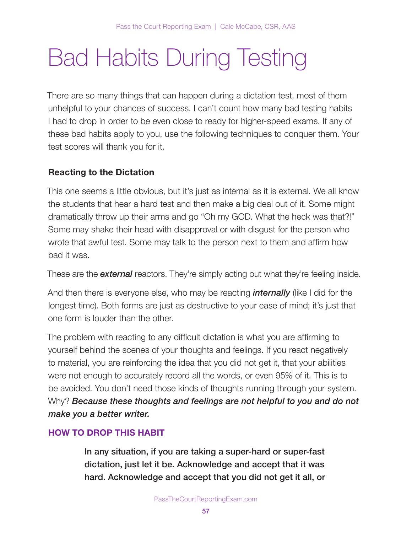# Bad Habits During Testing

There are so many things that can happen during a dictation test, most of them unhelpful to your chances of success. I can't count how many bad testing habits I had to drop in order to be even close to ready for higher-speed exams. If any of these bad habits apply to you, use the following techniques to conquer them. Your test scores will thank you for it.

## Reacting to the Dictation

This one seems a little obvious, but it's just as internal as it is external. We all know the students that hear a hard test and then make a big deal out of it. Some might dramatically throw up their arms and go "Oh my GOD. What the heck was that?!" Some may shake their head with disapproval or with disgust for the person who wrote that awful test. Some may talk to the person next to them and affirm how bad it was.

These are the **external** reactors. They're simply acting out what they're feeling inside.

And then there is everyone else, who may be reacting *internally* (like I did for the longest time). Both forms are just as destructive to your ease of mind; it's just that one form is louder than the other.

The problem with reacting to any difficult dictation is what you are affirming to yourself behind the scenes of your thoughts and feelings. If you react negatively to material, you are reinforcing the idea that you did not get it, that your abilities were not enough to accurately record all the words, or even 95% of it. This is to be avoided. You don't need those kinds of thoughts running through your system. Why? Because these thoughts and feelings are not helpful to you and do not make you a better writer.

## HOW TO DROP THIS HABIT

In any situation, if you are taking a super-hard or super-fast dictation, just let it be. Acknowledge and accept that it was hard. Acknowledge and accept that you did not get it all, or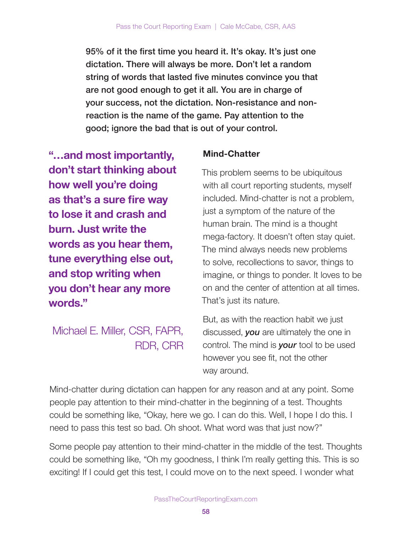95% of it the first time you heard it. It's okay. It's just one dictation. There will always be more. Don't let a random string of words that lasted five minutes convince you that are not good enough to get it all. You are in charge of your success, not the dictation. Non-resistance and nonreaction is the name of the game. Pay attention to the good; ignore the bad that is out of your control.

"…and most importantly, don't start thinking about how well you're doing as that's a sure fire way to lose it and crash and burn. Just write the words as you hear them, tune everything else out, and stop writing when you don't hear any more words."

Michael E. Miller, CSR, FAPR, RDR, CRR

## Mind-Chatter

This problem seems to be ubiquitous with all court reporting students, myself included. Mind-chatter is not a problem, just a symptom of the nature of the human brain. The mind is a thought mega-factory. It doesn't often stay quiet. The mind always needs new problems to solve, recollections to savor, things to imagine, or things to ponder. It loves to be on and the center of attention at all times. That's just its nature.

But, as with the reaction habit we just discussed, you are ultimately the one in control. The mind is **your** tool to be used however you see fit, not the other way around.

Mind-chatter during dictation can happen for any reason and at any point. Some people pay attention to their mind-chatter in the beginning of a test. Thoughts could be something like, "Okay, here we go. I can do this. Well, I hope I do this. I need to pass this test so bad. Oh shoot. What word was that just now?"

Some people pay attention to their mind-chatter in the middle of the test. Thoughts could be something like, "Oh my goodness, I think I'm really getting this. This is so exciting! If I could get this test, I could move on to the next speed. I wonder what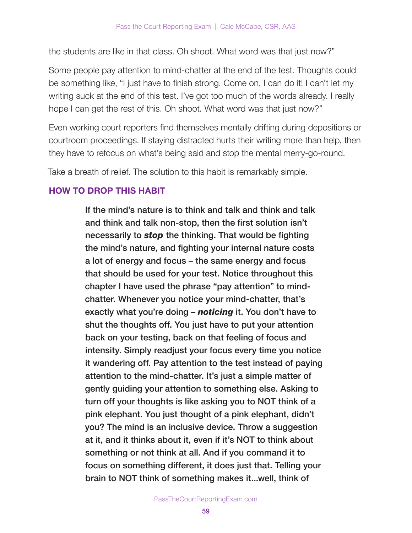the students are like in that class. Oh shoot. What word was that just now?"

Some people pay attention to mind-chatter at the end of the test. Thoughts could be something like, "I just have to finish strong. Come on, I can do it! I can't let my writing suck at the end of this test. I've got too much of the words already. I really hope I can get the rest of this. Oh shoot. What word was that just now?"

Even working court reporters find themselves mentally drifting during depositions or courtroom proceedings. If staying distracted hurts their writing more than help, then they have to refocus on what's being said and stop the mental merry-go-round.

Take a breath of relief. The solution to this habit is remarkably simple.

## HOW TO DROP THIS HABIT

If the mind's nature is to think and talk and think and talk and think and talk non-stop, then the first solution isn't necessarily to **stop** the thinking. That would be fighting the mind's nature, and fighting your internal nature costs a lot of energy and focus – the same energy and focus that should be used for your test. Notice throughout this chapter I have used the phrase "pay attention" to mindchatter. Whenever you notice your mind-chatter, that's exactly what you're doing – noticing it. You don't have to shut the thoughts off. You just have to put your attention back on your testing, back on that feeling of focus and intensity. Simply readjust your focus every time you notice it wandering off. Pay attention to the test instead of paying attention to the mind-chatter. It's just a simple matter of gently guiding your attention to something else. Asking to turn off your thoughts is like asking you to NOT think of a pink elephant. You just thought of a pink elephant, didn't you? The mind is an inclusive device. Throw a suggestion at it, and it thinks about it, even if it's NOT to think about something or not think at all. And if you command it to focus on something different, it does just that. Telling your brain to NOT think of something makes it...well, think of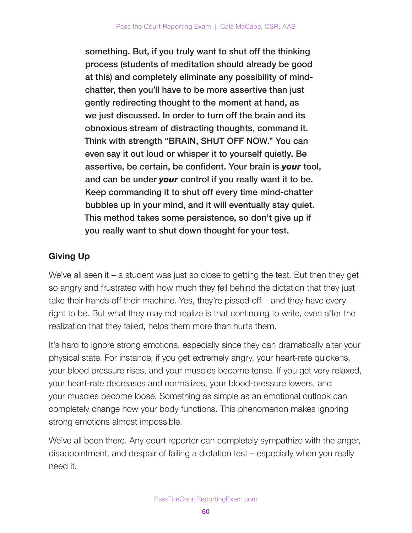something. But, if you truly want to shut off the thinking process (students of meditation should already be good at this) and completely eliminate any possibility of mindchatter, then you'll have to be more assertive than just gently redirecting thought to the moment at hand, as we just discussed. In order to turn off the brain and its obnoxious stream of distracting thoughts, command it. Think with strength "BRAIN, SHUT OFF NOW." You can even say it out loud or whisper it to yourself quietly. Be assertive, be certain, be confident. Your brain is **your** tool, and can be under your control if you really want it to be. Keep commanding it to shut off every time mind-chatter bubbles up in your mind, and it will eventually stay quiet. This method takes some persistence, so don't give up if you really want to shut down thought for your test.

## Giving Up

We've all seen it – a student was just so close to getting the test. But then they get so angry and frustrated with how much they fell behind the dictation that they just take their hands off their machine. Yes, they're pissed off – and they have every right to be. But what they may not realize is that continuing to write, even after the realization that they failed, helps them more than hurts them.

It's hard to ignore strong emotions, especially since they can dramatically alter your physical state. For instance, if you get extremely angry, your heart-rate quickens, your blood pressure rises, and your muscles become tense. If you get very relaxed, your heart-rate decreases and normalizes, your blood-pressure lowers, and your muscles become loose. Something as simple as an emotional outlook can completely change how your body functions. This phenomenon makes ignoring strong emotions almost impossible.

We've all been there. Any court reporter can completely sympathize with the anger, disappointment, and despair of failing a dictation test – especially when you really need it.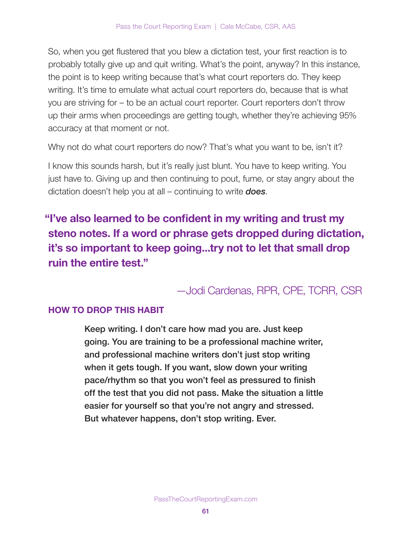So, when you get flustered that you blew a dictation test, your first reaction is to probably totally give up and quit writing. What's the point, anyway? In this instance, the point is to keep writing because that's what court reporters do. They keep writing. It's time to emulate what actual court reporters do, because that is what you are striving for – to be an actual court reporter. Court reporters don't throw up their arms when proceedings are getting tough, whether they're achieving 95% accuracy at that moment or not.

Why not do what court reporters do now? That's what you want to be, isn't it?

I know this sounds harsh, but it's really just blunt. You have to keep writing. You just have to. Giving up and then continuing to pout, fume, or stay angry about the dictation doesn't help you at all – continuing to write **does**.

"I've also learned to be confident in my writing and trust my steno notes. If a word or phrase gets dropped during dictation, it's so important to keep going...try not to let that small drop ruin the entire test."

## —Jodi Cardenas, RPR, CPE, TCRR, CSR

## HOW TO DROP THIS HABIT

Keep writing. I don't care how mad you are. Just keep going. You are training to be a professional machine writer, and professional machine writers don't just stop writing when it gets tough. If you want, slow down your writing pace/rhythm so that you won't feel as pressured to finish off the test that you did not pass. Make the situation a little easier for yourself so that you're not angry and stressed. But whatever happens, don't stop writing. Ever.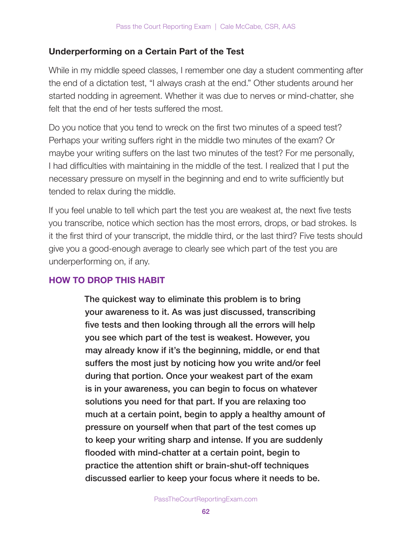## Underperforming on a Certain Part of the Test

While in my middle speed classes, I remember one day a student commenting after the end of a dictation test, "I always crash at the end." Other students around her started nodding in agreement. Whether it was due to nerves or mind-chatter, she felt that the end of her tests suffered the most.

Do you notice that you tend to wreck on the first two minutes of a speed test? Perhaps your writing suffers right in the middle two minutes of the exam? Or maybe your writing suffers on the last two minutes of the test? For me personally, I had difficulties with maintaining in the middle of the test. I realized that I put the necessary pressure on myself in the beginning and end to write sufficiently but tended to relax during the middle.

If you feel unable to tell which part the test you are weakest at, the next five tests you transcribe, notice which section has the most errors, drops, or bad strokes. Is it the first third of your transcript, the middle third, or the last third? Five tests should give you a good-enough average to clearly see which part of the test you are underperforming on, if any.

## HOW TO DROP THIS HABIT

The quickest way to eliminate this problem is to bring your awareness to it. As was just discussed, transcribing five tests and then looking through all the errors will help you see which part of the test is weakest. However, you may already know if it's the beginning, middle, or end that suffers the most just by noticing how you write and/or feel during that portion. Once your weakest part of the exam is in your awareness, you can begin to focus on whatever solutions you need for that part. If you are relaxing too much at a certain point, begin to apply a healthy amount of pressure on yourself when that part of the test comes up to keep your writing sharp and intense. If you are suddenly flooded with mind-chatter at a certain point, begin to practice the attention shift or brain-shut-off techniques discussed earlier to keep your focus where it needs to be.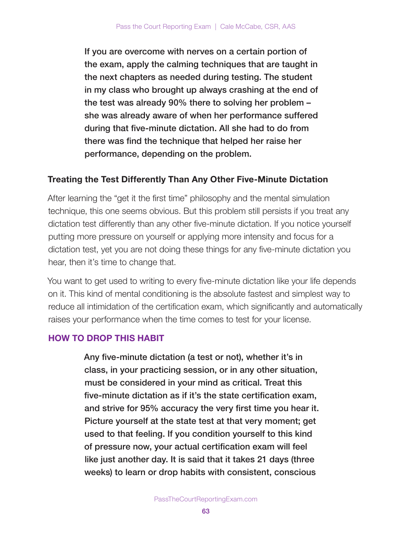If you are overcome with nerves on a certain portion of the exam, apply the calming techniques that are taught in the next chapters as needed during testing. The student in my class who brought up always crashing at the end of the test was already 90% there to solving her problem – she was already aware of when her performance suffered during that five-minute dictation. All she had to do from there was find the technique that helped her raise her performance, depending on the problem.

### Treating the Test Differently Than Any Other Five-Minute Dictation

After learning the "get it the first time" philosophy and the mental simulation technique, this one seems obvious. But this problem still persists if you treat any dictation test differently than any other five-minute dictation. If you notice yourself putting more pressure on yourself or applying more intensity and focus for a dictation test, yet you are not doing these things for any five-minute dictation you hear, then it's time to change that.

You want to get used to writing to every five-minute dictation like your life depends on it. This kind of mental conditioning is the absolute fastest and simplest way to reduce all intimidation of the certification exam, which significantly and automatically raises your performance when the time comes to test for your license.

## HOW TO DROP THIS HABIT

Any five-minute dictation (a test or not), whether it's in class, in your practicing session, or in any other situation, must be considered in your mind as critical. Treat this five-minute dictation as if it's the state certification exam, and strive for 95% accuracy the very first time you hear it. Picture yourself at the state test at that very moment; get used to that feeling. If you condition yourself to this kind of pressure now, your actual certification exam will feel like just another day. It is said that it takes 21 days (three weeks) to learn or drop habits with consistent, conscious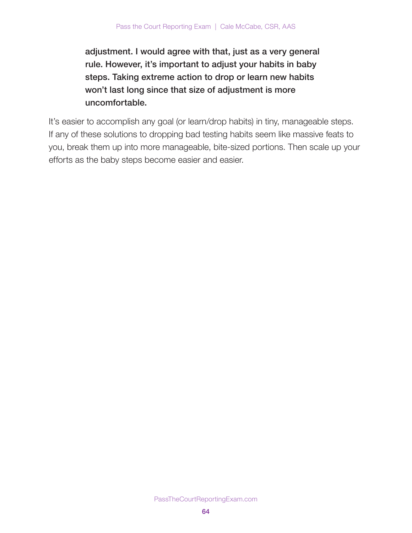adjustment. I would agree with that, just as a very general rule. However, it's important to adjust your habits in baby steps. Taking extreme action to drop or learn new habits won't last long since that size of adjustment is more uncomfortable.

It's easier to accomplish any goal (or learn/drop habits) in tiny, manageable steps. If any of these solutions to dropping bad testing habits seem like massive feats to you, break them up into more manageable, bite-sized portions. Then scale up your efforts as the baby steps become easier and easier.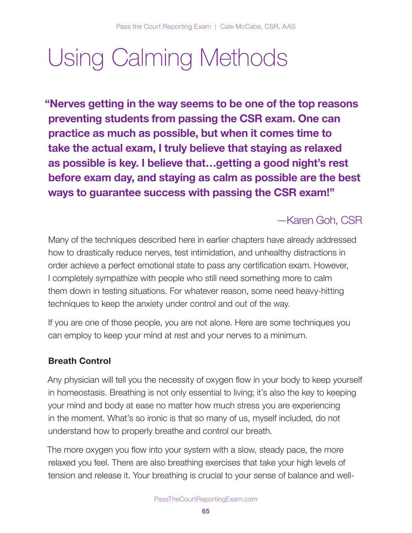# Using Calming Methods

"Nerves getting in the way seems to be one of the top reasons preventing students from passing the CSR exam. One can practice as much as possible, but when it comes time to take the actual exam, I truly believe that staying as relaxed as possible is key. I believe that…getting a good night's rest before exam day, and staying as calm as possible are the best ways to guarantee success with passing the CSR exam!"

## —Karen Goh, CSR

Many of the techniques described here in earlier chapters have already addressed how to drastically reduce nerves, test intimidation, and unhealthy distractions in order achieve a perfect emotional state to pass any certification exam. However, I completely sympathize with people who still need something more to calm them down in testing situations. For whatever reason, some need heavy-hitting techniques to keep the anxiety under control and out of the way.

If you are one of those people, you are not alone. Here are some techniques you can employ to keep your mind at rest and your nerves to a minimum.

## Breath Control

Any physician will tell you the necessity of oxygen flow in your body to keep yourself in homeostasis. Breathing is not only essential to living; it's also the key to keeping your mind and body at ease no matter how much stress you are experiencing in the moment. What's so ironic is that so many of us, myself included, do not understand how to properly breathe and control our breath.

The more oxygen you flow into your system with a slow, steady pace, the more relaxed you feel. There are also breathing exercises that take your high levels of tension and release it. Your breathing is crucial to your sense of balance and well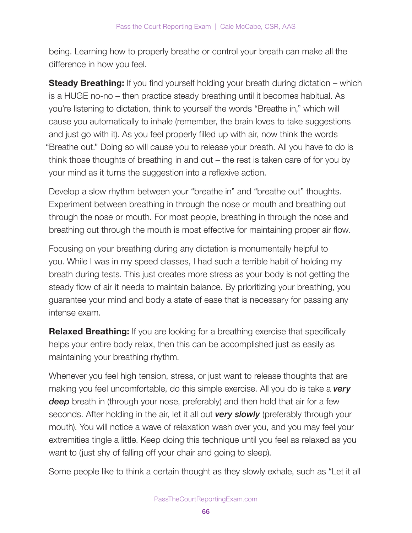being. Learning how to properly breathe or control your breath can make all the difference in how you feel.

**Steady Breathing:** If you find yourself holding your breath during dictation – which is a HUGE no-no – then practice steady breathing until it becomes habitual. As you're listening to dictation, think to yourself the words "Breathe in," which will cause you automatically to inhale (remember, the brain loves to take suggestions and just go with it). As you feel properly filled up with air, now think the words "Breathe out." Doing so will cause you to release your breath. All you have to do is think those thoughts of breathing in and out – the rest is taken care of for you by your mind as it turns the suggestion into a reflexive action.

Develop a slow rhythm between your "breathe in" and "breathe out" thoughts. Experiment between breathing in through the nose or mouth and breathing out through the nose or mouth. For most people, breathing in through the nose and breathing out through the mouth is most effective for maintaining proper air flow.

Focusing on your breathing during any dictation is monumentally helpful to you. While I was in my speed classes, I had such a terrible habit of holding my breath during tests. This just creates more stress as your body is not getting the steady flow of air it needs to maintain balance. By prioritizing your breathing, you guarantee your mind and body a state of ease that is necessary for passing any intense exam.

**Relaxed Breathing:** If you are looking for a breathing exercise that specifically helps your entire body relax, then this can be accomplished just as easily as maintaining your breathing rhythm.

Whenever you feel high tension, stress, or just want to release thoughts that are making you feel uncomfortable, do this simple exercise. All you do is take a **very** deep breath in (through your nose, preferably) and then hold that air for a few seconds. After holding in the air, let it all out very slowly (preferably through your mouth). You will notice a wave of relaxation wash over you, and you may feel your extremities tingle a little. Keep doing this technique until you feel as relaxed as you want to (just shy of falling off your chair and going to sleep).

Some people like to think a certain thought as they slowly exhale, such as "Let it all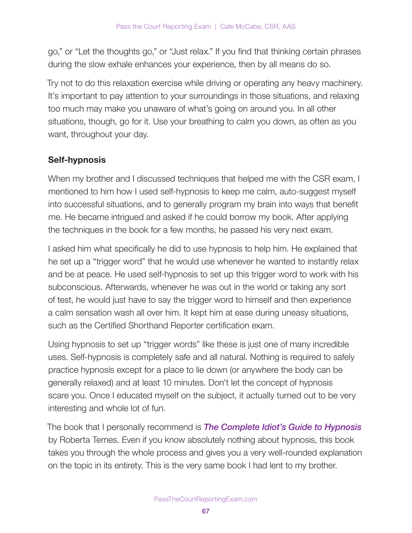go," or "Let the thoughts go," or "Just relax." If you find that thinking certain phrases during the slow exhale enhances your experience, then by all means do so.

Try not to do this relaxation exercise while driving or operating any heavy machinery. It's important to pay attention to your surroundings in those situations, and relaxing too much may make you unaware of what's going on around you. In all other situations, though, go for it. Use your breathing to calm you down, as often as you want, throughout your day.

### Self-hypnosis

When my brother and I discussed techniques that helped me with the CSR exam, I mentioned to him how I used self-hypnosis to keep me calm, auto-suggest myself into successful situations, and to generally program my brain into ways that benefit me. He became intrigued and asked if he could borrow my book. After applying the techniques in the book for a few months, he passed his very next exam.

I asked him what specifically he did to use hypnosis to help him. He explained that he set up a "trigger word" that he would use whenever he wanted to instantly relax and be at peace. He used self-hypnosis to set up this trigger word to work with his subconscious. Afterwards, whenever he was out in the world or taking any sort of test, he would just have to say the trigger word to himself and then experience a calm sensation wash all over him. It kept him at ease during uneasy situations, such as the Certified Shorthand Reporter certification exam.

Using hypnosis to set up "trigger words" like these is just one of many incredible uses. Self-hypnosis is completely safe and all natural. Nothing is required to safely practice hypnosis except for a place to lie down (or anywhere the body can be generally relaxed) and at least 10 minutes. Don't let the concept of hypnosis scare you. Once I educated myself on the subject, it actually turned out to be very interesting and whole lot of fun.

The book that I personally recommend is **The Complete Idiot's Guide to Hypnosis** by Roberta Temes. Even if you know absolutely nothing about hypnosis, this book takes you through the whole process and gives you a very well-rounded explanation on the topic in its entirety. This is the very same book I had lent to my brother.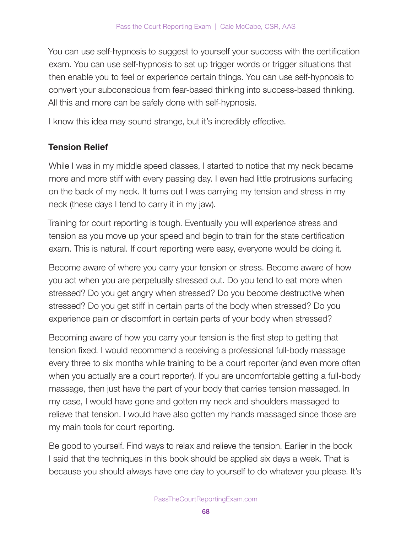You can use self-hypnosis to suggest to yourself your success with the certification exam. You can use self-hypnosis to set up trigger words or trigger situations that then enable you to feel or experience certain things. You can use self-hypnosis to convert your subconscious from fear-based thinking into success-based thinking. All this and more can be safely done with self-hypnosis.

I know this idea may sound strange, but it's incredibly effective.

### Tension Relief

While I was in my middle speed classes, I started to notice that my neck became more and more stiff with every passing day. I even had little protrusions surfacing on the back of my neck. It turns out I was carrying my tension and stress in my neck (these days I tend to carry it in my jaw).

Training for court reporting is tough. Eventually you will experience stress and tension as you move up your speed and begin to train for the state certification exam. This is natural. If court reporting were easy, everyone would be doing it.

Become aware of where you carry your tension or stress. Become aware of how you act when you are perpetually stressed out. Do you tend to eat more when stressed? Do you get angry when stressed? Do you become destructive when stressed? Do you get stiff in certain parts of the body when stressed? Do you experience pain or discomfort in certain parts of your body when stressed?

Becoming aware of how you carry your tension is the first step to getting that tension fixed. I would recommend a receiving a professional full-body massage every three to six months while training to be a court reporter (and even more often when you actually are a court reporter). If you are uncomfortable getting a full-body massage, then just have the part of your body that carries tension massaged. In my case, I would have gone and gotten my neck and shoulders massaged to relieve that tension. I would have also gotten my hands massaged since those are my main tools for court reporting.

Be good to yourself. Find ways to relax and relieve the tension. Earlier in the book I said that the techniques in this book should be applied six days a week. That is because you should always have one day to yourself to do whatever you please. It's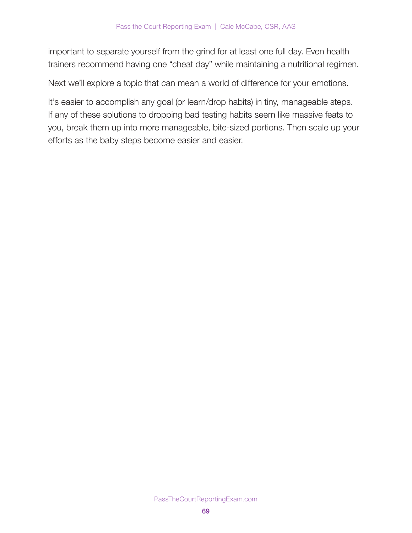important to separate yourself from the grind for at least one full day. Even health trainers recommend having one "cheat day" while maintaining a nutritional regimen.

Next we'll explore a topic that can mean a world of difference for your emotions.

It's easier to accomplish any goal (or learn/drop habits) in tiny, manageable steps. If any of these solutions to dropping bad testing habits seem like massive feats to you, break them up into more manageable, bite-sized portions. Then scale up your efforts as the baby steps become easier and easier.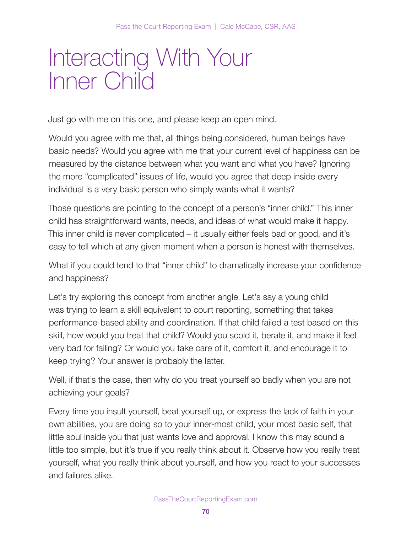# Interacting With Your Inner Child

Just go with me on this one, and please keep an open mind.

Would you agree with me that, all things being considered, human beings have basic needs? Would you agree with me that your current level of happiness can be measured by the distance between what you want and what you have? Ignoring the more "complicated" issues of life, would you agree that deep inside every individual is a very basic person who simply wants what it wants?

Those questions are pointing to the concept of a person's "inner child." This inner child has straightforward wants, needs, and ideas of what would make it happy. This inner child is never complicated – it usually either feels bad or good, and it's easy to tell which at any given moment when a person is honest with themselves.

What if you could tend to that "inner child" to dramatically increase your confidence and happiness?

Let's try exploring this concept from another angle. Let's say a young child was trying to learn a skill equivalent to court reporting, something that takes performance-based ability and coordination. If that child failed a test based on this skill, how would you treat that child? Would you scold it, berate it, and make it feel very bad for failing? Or would you take care of it, comfort it, and encourage it to keep trying? Your answer is probably the latter.

Well, if that's the case, then why do you treat yourself so badly when you are not achieving your goals?

Every time you insult yourself, beat yourself up, or express the lack of faith in your own abilities, you are doing so to your inner-most child, your most basic self, that little soul inside you that just wants love and approval. I know this may sound a little too simple, but it's true if you really think about it. Observe how you really treat yourself, what you really think about yourself, and how you react to your successes and failures alike.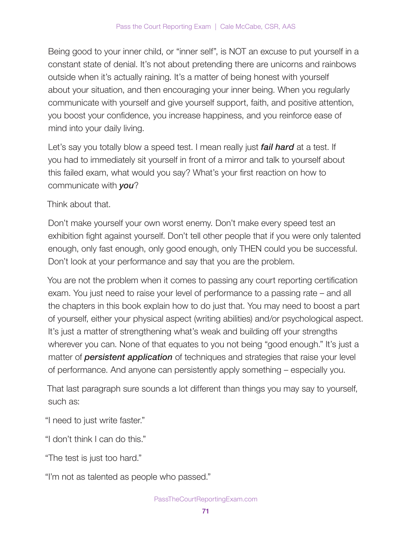Being good to your inner child, or "inner self", is NOT an excuse to put yourself in a constant state of denial. It's not about pretending there are unicorns and rainbows outside when it's actually raining. It's a matter of being honest with yourself about your situation, and then encouraging your inner being. When you regularly communicate with yourself and give yourself support, faith, and positive attention, you boost your confidence, you increase happiness, and you reinforce ease of mind into your daily living.

Let's say you totally blow a speed test. I mean really just fail hard at a test. If you had to immediately sit yourself in front of a mirror and talk to yourself about this failed exam, what would you say? What's your first reaction on how to communicate with you?

Think about that.

Don't make yourself your own worst enemy. Don't make every speed test an exhibition fight against yourself. Don't tell other people that if you were only talented enough, only fast enough, only good enough, only THEN could you be successful. Don't look at your performance and say that you are the problem.

You are not the problem when it comes to passing any court reporting certification exam. You just need to raise your level of performance to a passing rate – and all the chapters in this book explain how to do just that. You may need to boost a part of yourself, either your physical aspect (writing abilities) and/or psychological aspect. It's just a matter of strengthening what's weak and building off your strengths wherever you can. None of that equates to you not being "good enough." It's just a matter of **persistent application** of techniques and strategies that raise your level of performance. And anyone can persistently apply something – especially you.

That last paragraph sure sounds a lot different than things you may say to yourself, such as:

"I need to just write faster."

"I don't think I can do this."

"The test is just too hard."

"I'm not as talented as people who passed."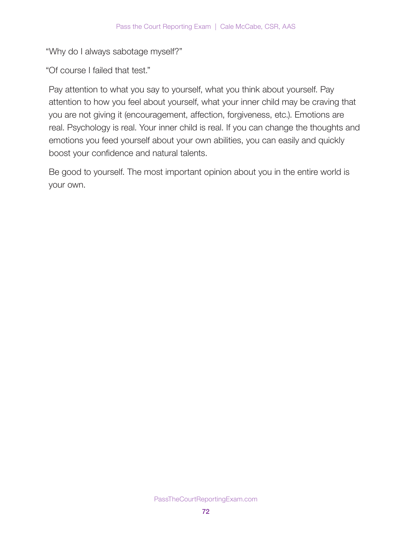"Why do I always sabotage myself?"

"Of course I failed that test."

Pay attention to what you say to yourself, what you think about yourself. Pay attention to how you feel about yourself, what your inner child may be craving that you are not giving it (encouragement, affection, forgiveness, etc.). Emotions are real. Psychology is real. Your inner child is real. If you can change the thoughts and emotions you feed yourself about your own abilities, you can easily and quickly boost your confidence and natural talents.

Be good to yourself. The most important opinion about you in the entire world is your own.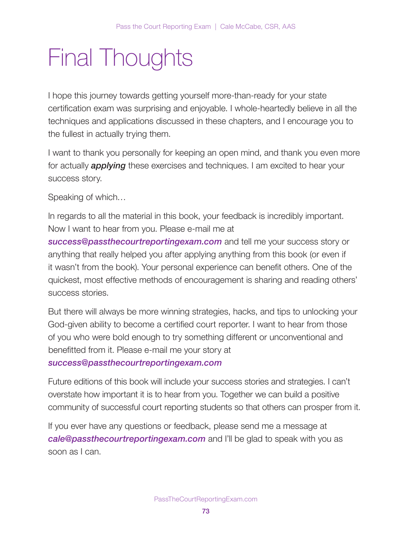## Final Thoughts

I hope this journey towards getting yourself more-than-ready for your state certification exam was surprising and enjoyable. I whole-heartedly believe in all the techniques and applications discussed in these chapters, and I encourage you to the fullest in actually trying them.

I want to thank you personally for keeping an open mind, and thank you even more for actually **applying** these exercises and techniques. I am excited to hear your success story.

Speaking of which…

In regards to all the material in this book, your feedback is incredibly important. Now I want to hear from you. Please e-mail me at

[success@passthecourtreportingexam.com](mailto:success@passthecourtreportingexam.com) and tell me your success story or anything that really helped you after applying anything from this book (or even if it wasn't from the book). Your personal experience can benefit others. One of the quickest, most effective methods of encouragement is sharing and reading others' success stories.

But there will always be more winning strategies, hacks, and tips to unlocking your God-given ability to become a certified court reporter. I want to hear from those of you who were bold enough to try something different or unconventional and benefitted from it. Please e-mail me your story at [success@passthecourtreportingexam.com](mailto:success@passthecourtreportingexam.com)

Future editions of this book will include your success stories and strategies. I can't overstate how important it is to hear from you. Together we can build a positive community of successful court reporting students so that others can prosper from it.

If you ever have any questions or feedback, please send me a message at [cale@passthecourtreportingexam.com](mailto:cale@passthecourtreportingexam.com) and I'll be glad to speak with you as soon as I can.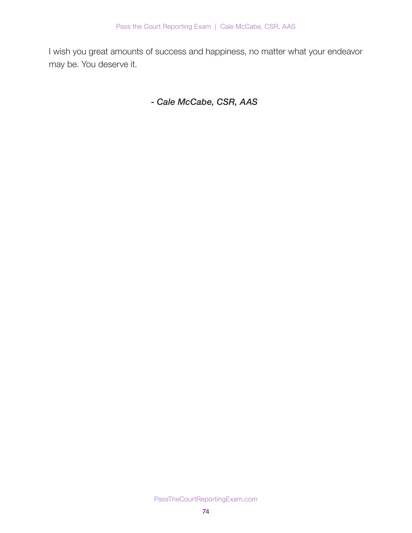I wish you great amounts of success and happiness, no matter what your endeavor may be. You deserve it.

- Cale McCabe, CSR, AAS

PassTheCourtReportingExam.com